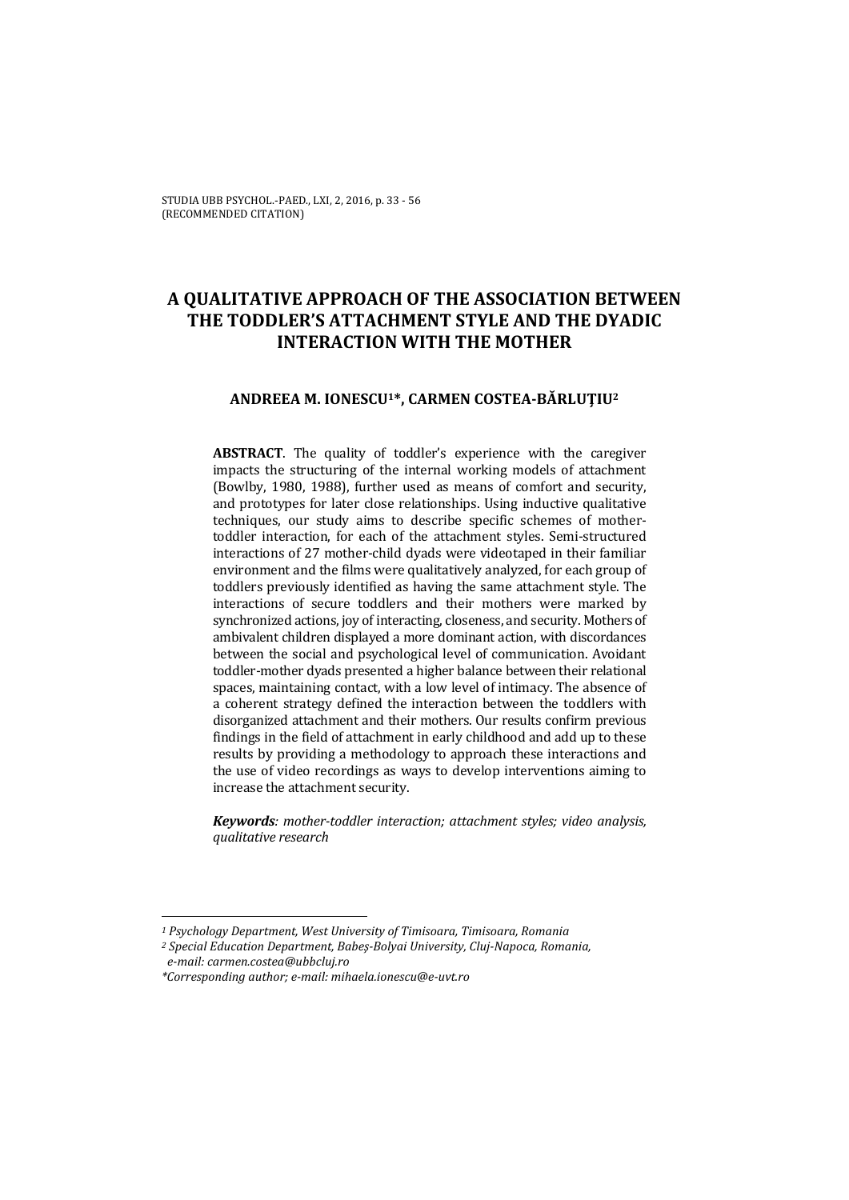# **A QUALITATIVE APPROACH OF THE ASSOCIATION BETWEEN THE TODDLER'S ATTACHMENT STYLE AND THE DYADIC INTERACTION WITH THE MOTHER**

### **ANDREEA M. IONESCU1\*, CARMEN COSTEA-BĂRLUŢIU2**

**ABSTRACT**. The quality of toddler's experience with the caregiver impacts the structuring of the internal working models of attachment (Bowlby, 1980, 1988), further used as means of comfort and security, and prototypes for later close relationships. Using inductive qualitative techniques, our study aims to describe specific schemes of mothertoddler interaction, for each of the attachment styles. Semi-structured interactions of 27 mother-child dyads were videotaped in their familiar environment and the films were qualitatively analyzed, for each group of toddlers previously identified as having the same attachment style. The interactions of secure toddlers and their mothers were marked by synchronized actions, joy of interacting, closeness, and security. Mothers of ambivalent children displayed a more dominant action, with discordances between the social and psychological level of communication. Avoidant toddler-mother dyads presented a higher balance between their relational spaces, maintaining contact, with a low level of intimacy. The absence of a coherent strategy defined the interaction between the toddlers with disorganized attachment and their mothers. Our results confirm previous findings in the field of attachment in early childhood and add up to these results by providing a methodology to approach these interactions and the use of video recordings as ways to develop interventions aiming to increase the attachment security.

*Keywords: mother-toddler interaction; attachment styles; video analysis, qualitative research* 

*<sup>1</sup> Psychology Department, West University of Timisoara, Timisoara, Romania* 

*<sup>2</sup> Special Education Department, Babeş-Bolyai University, Cluj-Napoca, Romania, e-mail: carmen.costea@ubbcluj.ro* 

*<sup>\*</sup>Corresponding author; e-mail: mihaela.ionescu@e-uvt.ro*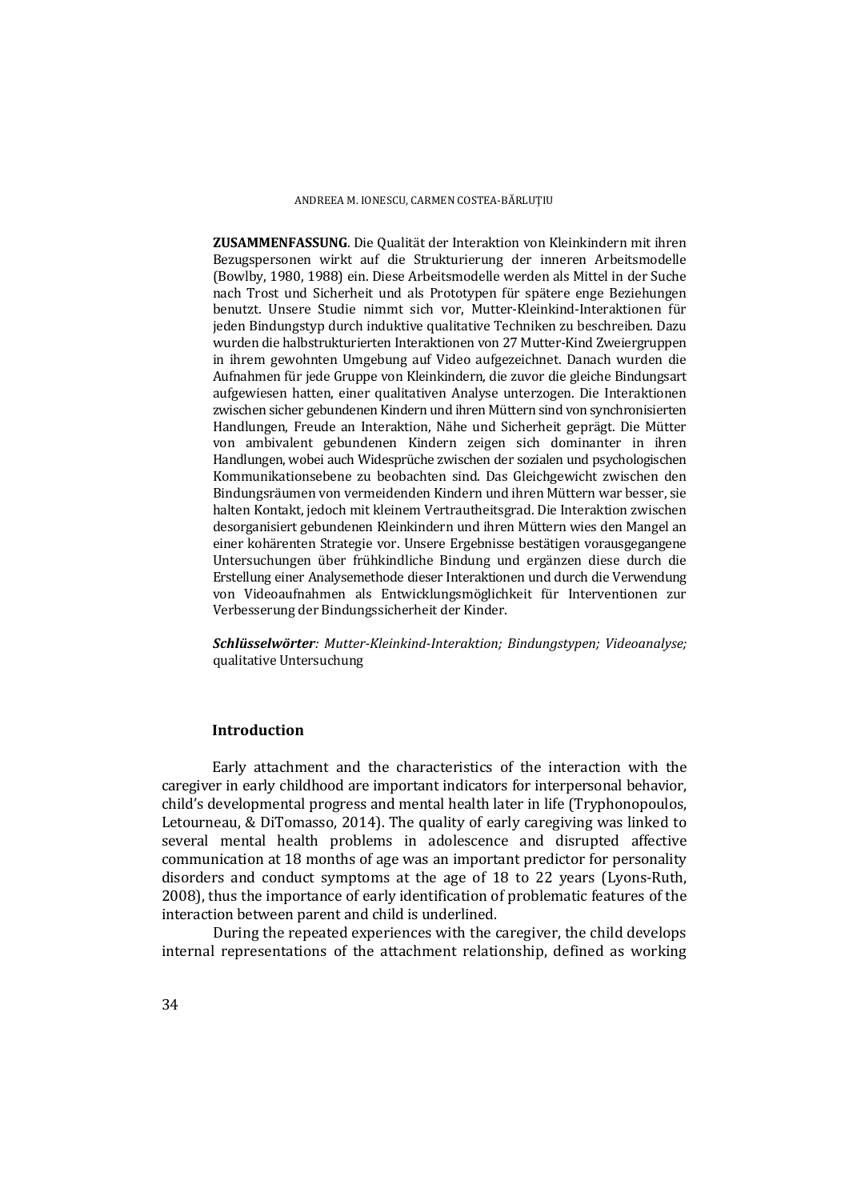**ZUSAMMENFASSUNG**. Die Qualität der Interaktion von Kleinkindern mit ihren Bezugspersonen wirkt auf die Strukturierung der inneren Arbeitsmodelle (Bowlby, 1980, 1988) ein. Diese Arbeitsmodelle werden als Mittel in der Suche nach Trost und Sicherheit und als Prototypen für spätere enge Beziehungen benutzt. Unsere Studie nimmt sich vor, Mutter-Kleinkind-Interaktionen für jeden Bindungstyp durch induktive qualitative Techniken zu beschreiben. Dazu wurden die halbstrukturierten Interaktionen von 27 Mutter-Kind Zweiergruppen in ihrem gewohnten Umgebung auf Video aufgezeichnet. Danach wurden die Aufnahmen für jede Gruppe von Kleinkindern, die zuvor die gleiche Bindungsart aufgewiesen hatten, einer qualitativen Analyse unterzogen. Die Interaktionen zwischen sicher gebundenen Kindern und ihren Müttern sind von synchronisierten Handlungen, Freude an Interaktion, Nähe und Sicherheit geprägt. Die Mütter von ambivalent gebundenen Kindern zeigen sich dominanter in ihren Handlungen, wobei auch Widesprüche zwischen der sozialen und psychologischen Kommunikationsebene zu beobachten sind. Das Gleichgewicht zwischen den Bindungsräumen von vermeidenden Kindern und ihren Müttern war besser, sie halten Kontakt, jedoch mit kleinem Vertrautheitsgrad. Die Interaktion zwischen desorganisiert gebundenen Kleinkindern und ihren Müttern wies den Mangel an einer kohärenten Strategie vor. Unsere Ergebnisse bestätigen vorausgegangene Untersuchungen über frühkindliche Bindung und ergänzen diese durch die Erstellung einer Analysemethode dieser Interaktionen und durch die Verwendung von Videoaufnahmen als Entwicklungsmöglichkeit für Interventionen zur Verbesserung der Bindungssicherheit der Kinder.

*Schlüsselwörter: Mutter-Kleinkind-Interaktion; Bindungstypen; Videoanalyse;* qualitative Untersuchung

### **Introduction**

Early attachment and the characteristics of the interaction with the caregiver in early childhood are important indicators for interpersonal behavior, child's developmental progress and mental health later in life (Tryphonopoulos, Letourneau, & DiTomasso, 2014). The quality of early caregiving was linked to several mental health problems in adolescence and disrupted affective communication at 18 months of age was an important predictor for personality disorders and conduct symptoms at the age of 18 to 22 years (Lyons-Ruth, 2008), thus the importance of early identification of problematic features of the interaction between parent and child is underlined.

During the repeated experiences with the caregiver, the child develops internal representations of the attachment relationship, defined as working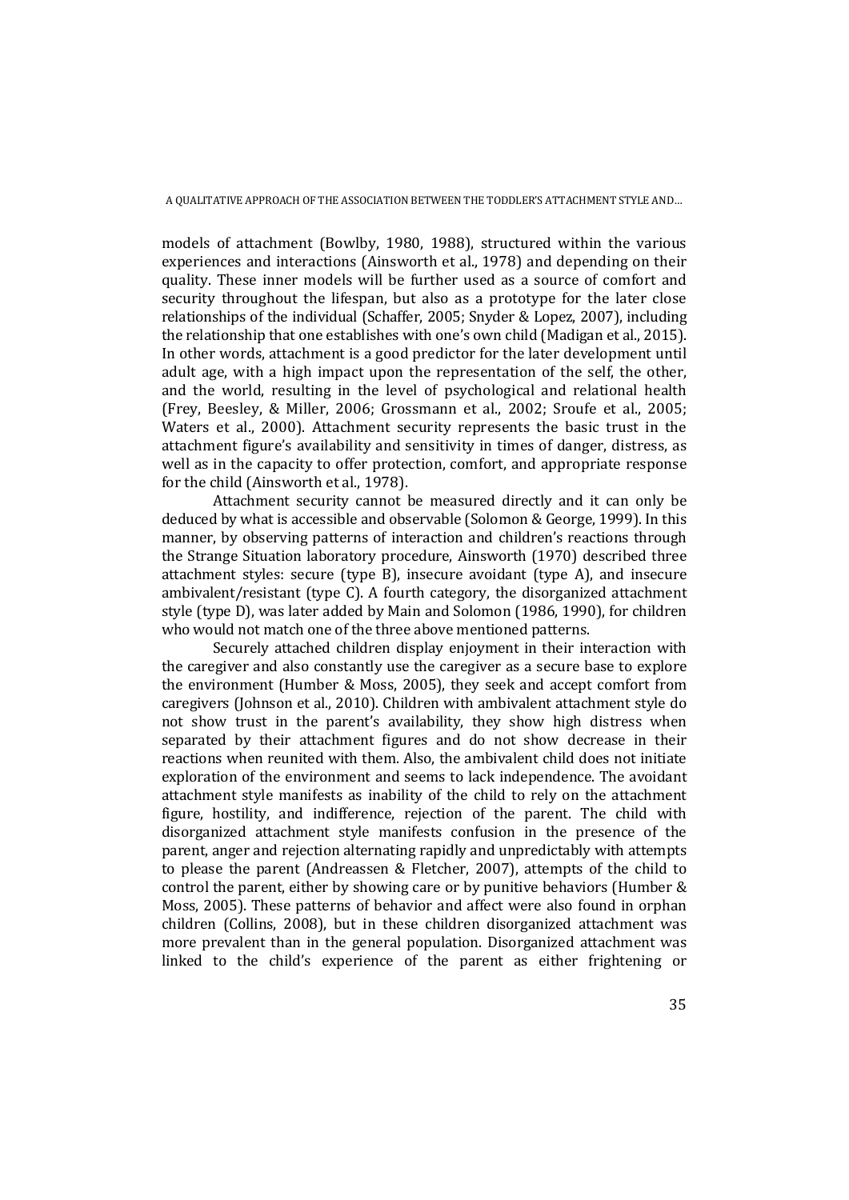models of attachment (Bowlby, 1980, 1988), structured within the various experiences and interactions (Ainsworth et al., 1978) and depending on their quality. These inner models will be further used as a source of comfort and security throughout the lifespan, but also as a prototype for the later close relationships of the individual (Schaffer, 2005; Snyder & Lopez, 2007), including the relationship that one establishes with one's own child (Madigan et al., 2015). In other words, attachment is a good predictor for the later development until adult age, with a high impact upon the representation of the self, the other, and the world, resulting in the level of psychological and relational health (Frey, Beesley, & Miller, 2006; Grossmann et al., 2002; Sroufe et al., 2005; Waters et al., 2000). Attachment security represents the basic trust in the attachment figure's availability and sensitivity in times of danger, distress, as well as in the capacity to offer protection, comfort, and appropriate response for the child (Ainsworth et al., 1978).

Attachment security cannot be measured directly and it can only be deduced by what is accessible and observable (Solomon & George, 1999). In this manner, by observing patterns of interaction and children's reactions through the Strange Situation laboratory procedure, Ainsworth (1970) described three attachment styles: secure (type B), insecure avoidant (type A), and insecure ambivalent/resistant (type C). A fourth category, the disorganized attachment style (type D), was later added by Main and Solomon (1986, 1990), for children who would not match one of the three above mentioned patterns.

Securely attached children display enjoyment in their interaction with the caregiver and also constantly use the caregiver as a secure base to explore the environment (Humber & Moss, 2005), they seek and accept comfort from caregivers (Johnson et al., 2010). Children with ambivalent attachment style do not show trust in the parent's availability, they show high distress when separated by their attachment figures and do not show decrease in their reactions when reunited with them. Also, the ambivalent child does not initiate exploration of the environment and seems to lack independence. The avoidant attachment style manifests as inability of the child to rely on the attachment figure, hostility, and indifference, rejection of the parent. The child with disorganized attachment style manifests confusion in the presence of the parent, anger and rejection alternating rapidly and unpredictably with attempts to please the parent (Andreassen & Fletcher, 2007), attempts of the child to control the parent, either by showing care or by punitive behaviors (Humber & Moss, 2005). These patterns of behavior and affect were also found in orphan children (Collins, 2008), but in these children disorganized attachment was more prevalent than in the general population. Disorganized attachment was linked to the child's experience of the parent as either frightening or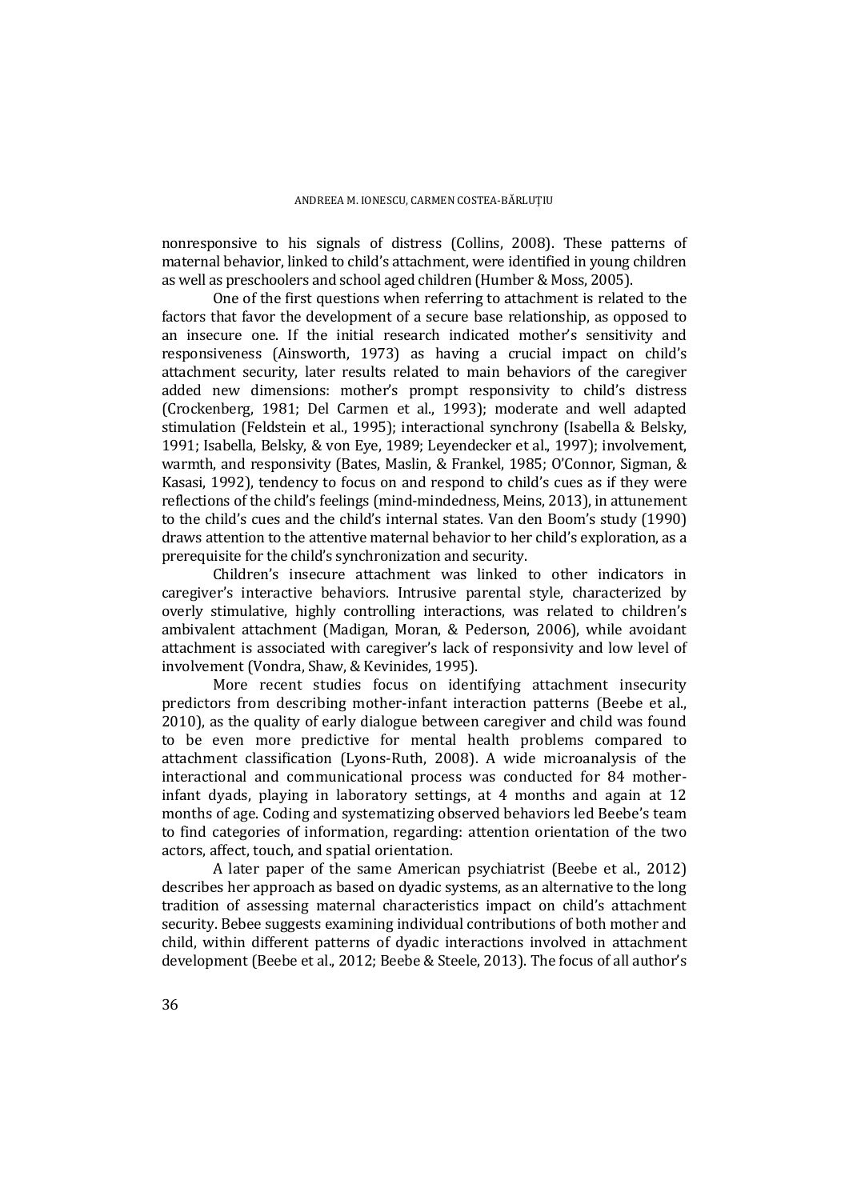nonresponsive to his signals of distress (Collins, 2008). These patterns of maternal behavior, linked to child's attachment, were identified in young children as well as preschoolers and school aged children (Humber & Moss, 2005).

One of the first questions when referring to attachment is related to the factors that favor the development of a secure base relationship, as opposed to an insecure one. If the initial research indicated mother's sensitivity and responsiveness (Ainsworth, 1973) as having a crucial impact on child's attachment security, later results related to main behaviors of the caregiver added new dimensions: mother's prompt responsivity to child's distress (Crockenberg, 1981; Del Carmen et al., 1993); moderate and well adapted stimulation (Feldstein et al., 1995); interactional synchrony (Isabella & Belsky, 1991; Isabella, Belsky, & von Eye, 1989; Leyendecker et al., 1997); involvement, warmth, and responsivity (Bates, Maslin, & Frankel, 1985; O'Connor, Sigman, & Kasasi, 1992), tendency to focus on and respond to child's cues as if they were reflections of the child's feelings (mind-mindedness, Meins, 2013), in attunement to the child's cues and the child's internal states. Van den Boom's study (1990) draws attention to the attentive maternal behavior to her child's exploration, as a prerequisite for the child's synchronization and security.

Children's insecure attachment was linked to other indicators in caregiver's interactive behaviors. Intrusive parental style, characterized by overly stimulative, highly controlling interactions, was related to children's ambivalent attachment (Madigan, Moran, & Pederson, 2006), while avoidant attachment is associated with caregiver's lack of responsivity and low level of involvement (Vondra, Shaw, & Kevinides, 1995).

More recent studies focus on identifying attachment insecurity predictors from describing mother-infant interaction patterns (Beebe et al., 2010), as the quality of early dialogue between caregiver and child was found to be even more predictive for mental health problems compared to attachment classification (Lyons-Ruth, 2008). A wide microanalysis of the interactional and communicational process was conducted for 84 motherinfant dyads, playing in laboratory settings, at 4 months and again at 12 months of age. Coding and systematizing observed behaviors led Beebe's team to find categories of information, regarding: attention orientation of the two actors, affect, touch, and spatial orientation.

A later paper of the same American psychiatrist (Beebe et al., 2012) describes her approach as based on dyadic systems, as an alternative to the long tradition of assessing maternal characteristics impact on child's attachment security. Bebee suggests examining individual contributions of both mother and child, within different patterns of dyadic interactions involved in attachment development (Beebe et al., 2012; Beebe & Steele, 2013). The focus of all author's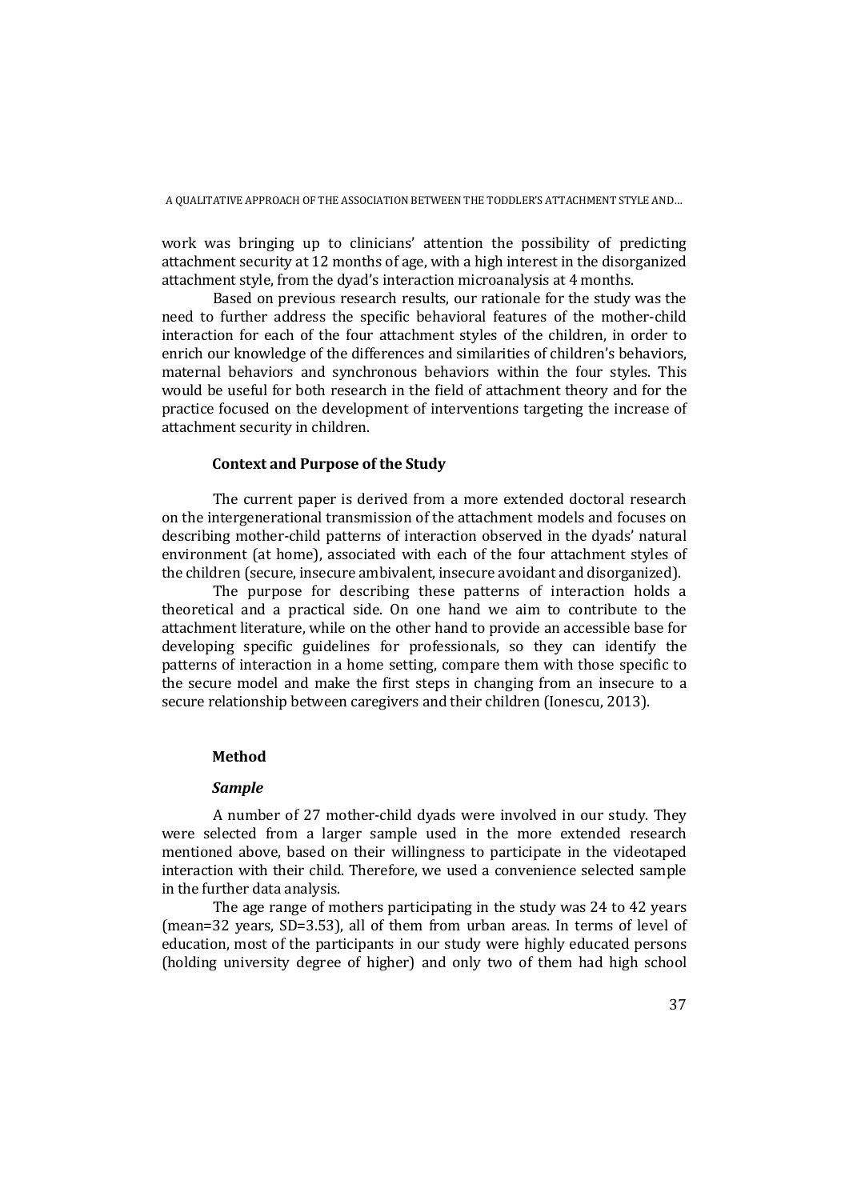work was bringing up to clinicians' attention the possibility of predicting attachment security at 12 months of age, with a high interest in the disorganized attachment style, from the dyad's interaction microanalysis at 4 months.

Based on previous research results, our rationale for the study was the need to further address the specific behavioral features of the mother-child interaction for each of the four attachment styles of the children, in order to enrich our knowledge of the differences and similarities of children's behaviors, maternal behaviors and synchronous behaviors within the four styles. This would be useful for both research in the field of attachment theory and for the practice focused on the development of interventions targeting the increase of attachment security in children.

### **Context and Purpose of the Study**

The current paper is derived from a more extended doctoral research on the intergenerational transmission of the attachment models and focuses on describing mother-child patterns of interaction observed in the dyads' natural environment (at home), associated with each of the four attachment styles of the children (secure, insecure ambivalent, insecure avoidant and disorganized).

The purpose for describing these patterns of interaction holds a theoretical and a practical side. On one hand we aim to contribute to the attachment literature, while on the other hand to provide an accessible base for developing specific guidelines for professionals, so they can identify the patterns of interaction in a home setting, compare them with those specific to the secure model and make the first steps in changing from an insecure to a secure relationship between caregivers and their children (Ionescu, 2013).

### **Method**

### *Sample*

A number of 27 mother-child dyads were involved in our study. They were selected from a larger sample used in the more extended research mentioned above, based on their willingness to participate in the videotaped interaction with their child. Therefore, we used a convenience selected sample in the further data analysis.

The age range of mothers participating in the study was 24 to 42 years (mean=32 years, SD=3.53), all of them from urban areas. In terms of level of education, most of the participants in our study were highly educated persons (holding university degree of higher) and only two of them had high school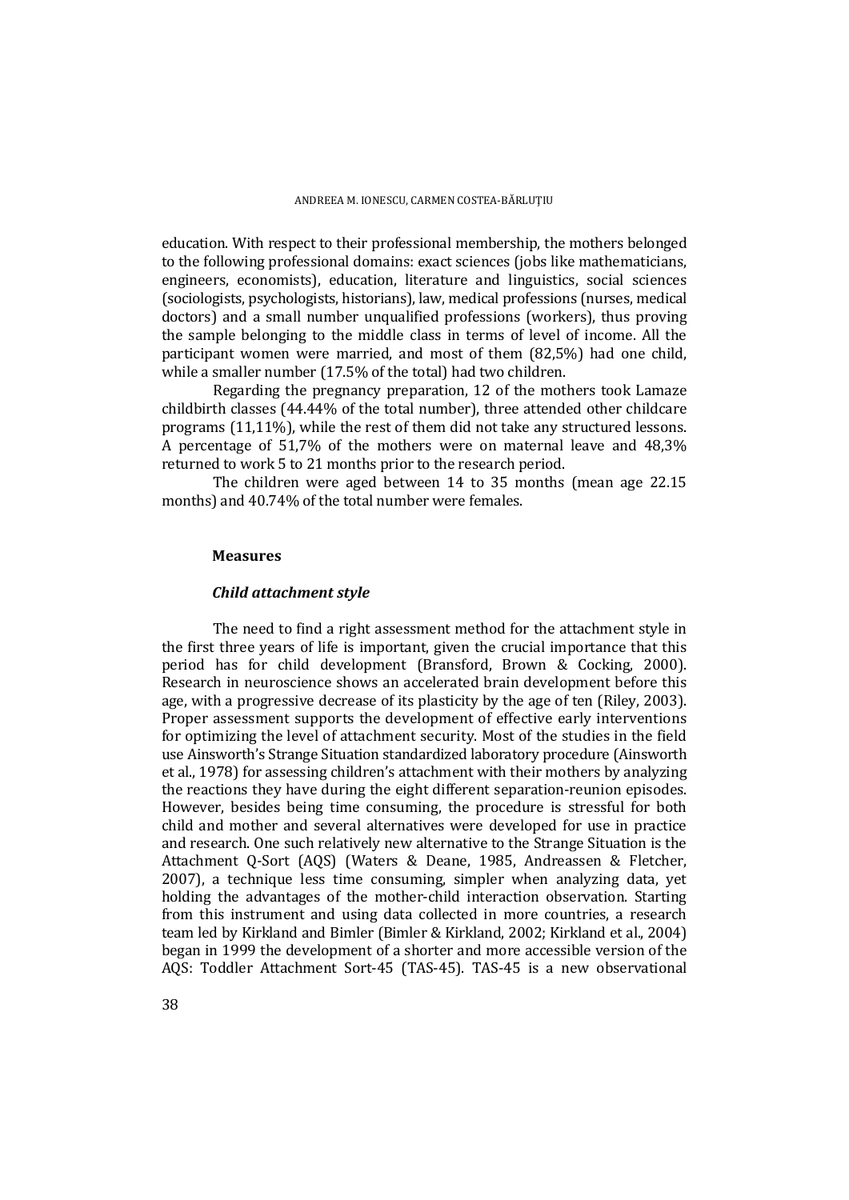education. With respect to their professional membership, the mothers belonged to the following professional domains: exact sciences (jobs like mathematicians, engineers, economists), education, literature and linguistics, social sciences (sociologists, psychologists, historians), law, medical professions (nurses, medical doctors) and a small number unqualified professions (workers), thus proving the sample belonging to the middle class in terms of level of income. All the participant women were married, and most of them (82,5%) had one child, while a smaller number (17.5% of the total) had two children.

Regarding the pregnancy preparation, 12 of the mothers took Lamaze childbirth classes (44.44% of the total number), three attended other childcare programs (11,11%), while the rest of them did not take any structured lessons. A percentage of 51,7% of the mothers were on maternal leave and 48,3% returned to work 5 to 21 months prior to the research period.

The children were aged between 14 to 35 months (mean age 22.15 months) and 40.74% of the total number were females.

#### **Measures**

#### *Child attachment style*

 The need to find a right assessment method for the attachment style in the first three years of life is important, given the crucial importance that this period has for child development (Bransford, Brown & Cocking, 2000). Research in neuroscience shows an accelerated brain development before this age, with a progressive decrease of its plasticity by the age of ten (Riley, 2003). Proper assessment supports the development of effective early interventions for optimizing the level of attachment security. Most of the studies in the field use Ainsworth's Strange Situation standardized laboratory procedure (Ainsworth et al., 1978) for assessing children's attachment with their mothers by analyzing the reactions they have during the eight different separation-reunion episodes. However, besides being time consuming, the procedure is stressful for both child and mother and several alternatives were developed for use in practice and research. One such relatively new alternative to the Strange Situation is the Attachment Q-Sort (AQS) (Waters & Deane, 1985, Andreassen & Fletcher, 2007), a technique less time consuming, simpler when analyzing data, yet holding the advantages of the mother-child interaction observation. Starting from this instrument and using data collected in more countries, a research team led by Kirkland and Bimler (Bimler & Kirkland, 2002; Kirkland et al., 2004) began in 1999 the development of a shorter and more accessible version of the AQS: Toddler Attachment Sort-45 (TAS-45). TAS-45 is a new observational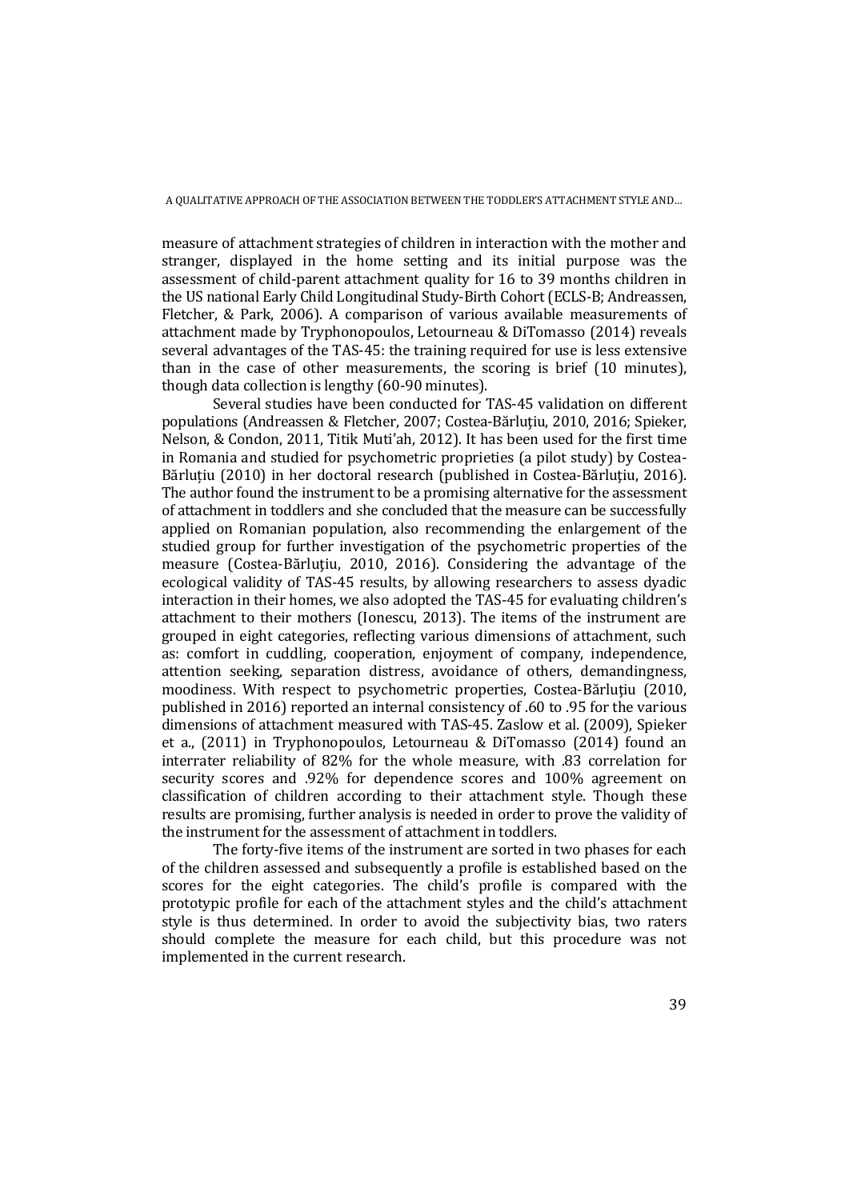measure of attachment strategies of children in interaction with the mother and stranger, displayed in the home setting and its initial purpose was the assessment of child-parent attachment quality for 16 to 39 months children in the US national Early Child Longitudinal Study-Birth Cohort (ECLS-B; Andreassen, Fletcher, & Park, 2006). A comparison of various available measurements of attachment made by Tryphonopoulos, Letourneau & DiTomasso (2014) reveals several advantages of the TAS-45: the training required for use is less extensive than in the case of other measurements, the scoring is brief (10 minutes), though data collection is lengthy (60-90 minutes).

Several studies have been conducted for TAS-45 validation on different populations (Andreassen & Fletcher, 2007; Costea-Bărluţiu, 2010, 2016; Spieker, Nelson, & Condon, 2011, Titik Muti'ah, 2012). It has been used for the first time in Romania and studied for psychometric proprieties (a pilot study) by Costea-Bărluțiu (2010) in her doctoral research (published in Costea-Bărluțiu, 2016). The author found the instrument to be a promising alternative for the assessment of attachment in toddlers and she concluded that the measure can be successfully applied on Romanian population, also recommending the enlargement of the studied group for further investigation of the psychometric properties of the measure (Costea-Bărluțiu, 2010, 2016). Considering the advantage of the ecological validity of TAS-45 results, by allowing researchers to assess dyadic interaction in their homes, we also adopted the TAS-45 for evaluating children's attachment to their mothers (Ionescu, 2013). The items of the instrument are grouped in eight categories, reflecting various dimensions of attachment, such as: comfort in cuddling, cooperation, enjoyment of company, independence, attention seeking, separation distress, avoidance of others, demandingness, moodiness. With respect to psychometric properties, Costea-Bărluţiu (2010, published in 2016) reported an internal consistency of .60 to .95 for the various dimensions of attachment measured with TAS-45. Zaslow et al. (2009), Spieker et a., (2011) in Tryphonopoulos, Letourneau & DiTomasso (2014) found an interrater reliability of 82% for the whole measure, with .83 correlation for security scores and .92% for dependence scores and 100% agreement on classification of children according to their attachment style. Though these results are promising, further analysis is needed in order to prove the validity of the instrument for the assessment of attachment in toddlers.

The forty-five items of the instrument are sorted in two phases for each of the children assessed and subsequently a profile is established based on the scores for the eight categories. The child's profile is compared with the prototypic profile for each of the attachment styles and the child's attachment style is thus determined. In order to avoid the subjectivity bias, two raters should complete the measure for each child, but this procedure was not implemented in the current research.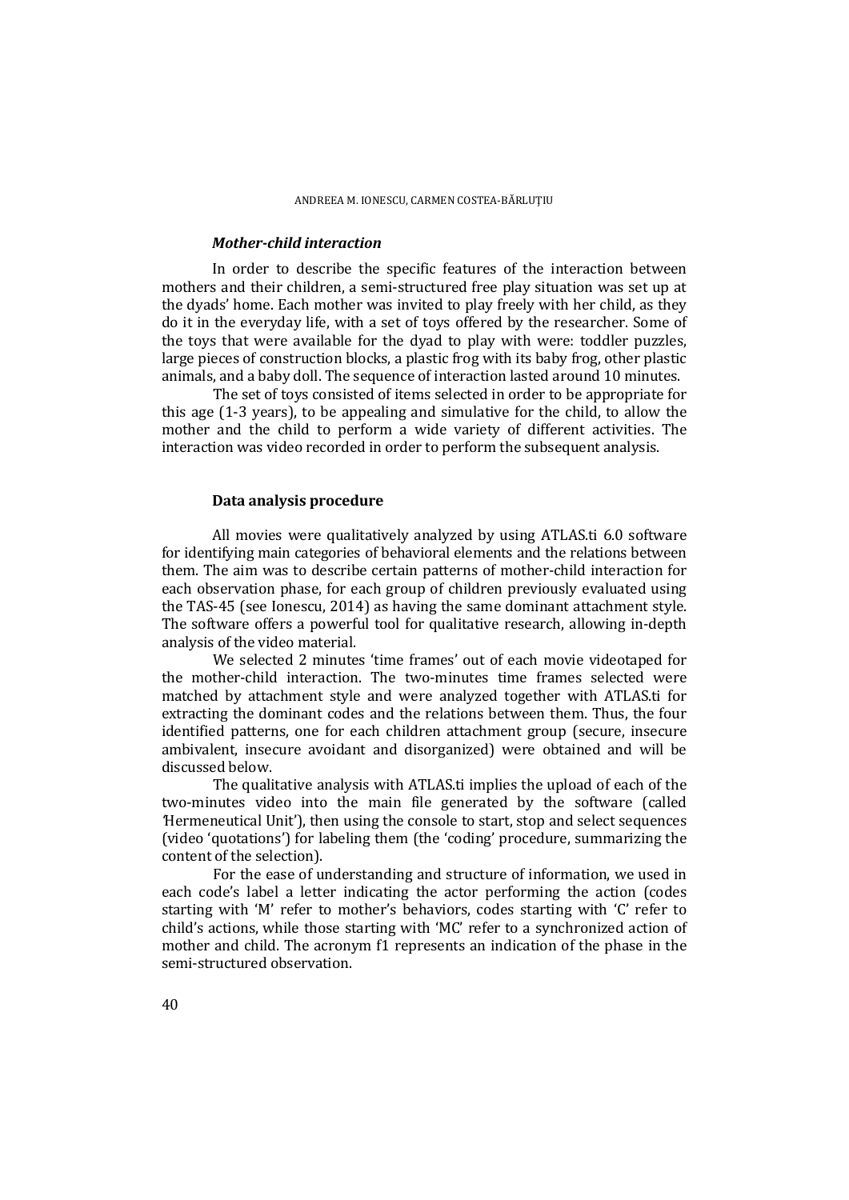#### *Mother-child interaction*

In order to describe the specific features of the interaction between mothers and their children, a semi-structured free play situation was set up at the dyads' home. Each mother was invited to play freely with her child, as they do it in the everyday life, with a set of toys offered by the researcher. Some of the toys that were available for the dyad to play with were: toddler puzzles, large pieces of construction blocks, a plastic frog with its baby frog, other plastic animals, and a baby doll. The sequence of interaction lasted around 10 minutes.

The set of toys consisted of items selected in order to be appropriate for this age (1-3 years), to be appealing and simulative for the child, to allow the mother and the child to perform a wide variety of different activities. The interaction was video recorded in order to perform the subsequent analysis.

### **Data analysis procedure**

All movies were qualitatively analyzed by using ATLAS.ti 6.0 software for identifying main categories of behavioral elements and the relations between them. The aim was to describe certain patterns of mother-child interaction for each observation phase, for each group of children previously evaluated using the TAS-45 (see Ionescu, 2014) as having the same dominant attachment style. The software offers a powerful tool for qualitative research, allowing in-depth analysis of the video material.

We selected 2 minutes 'time frames' out of each movie videotaped for the mother-child interaction. The two-minutes time frames selected were matched by attachment style and were analyzed together with ATLAS.ti for extracting the dominant codes and the relations between them. Thus, the four identified patterns, one for each children attachment group (secure, insecure ambivalent, insecure avoidant and disorganized) were obtained and will be discussed below.

The qualitative analysis with ATLAS.ti implies the upload of each of the two-minutes video into the main file generated by the software (called *'*Hermeneutical Unit'), then using the console to start, stop and select sequences (video 'quotations') for labeling them (the 'coding' procedure, summarizing the content of the selection).

For the ease of understanding and structure of information, we used in each code's label a letter indicating the actor performing the action (codes starting with 'M' refer to mother's behaviors, codes starting with 'C' refer to child's actions, while those starting with 'MC' refer to a synchronized action of mother and child. The acronym f1 represents an indication of the phase in the semi-structured observation.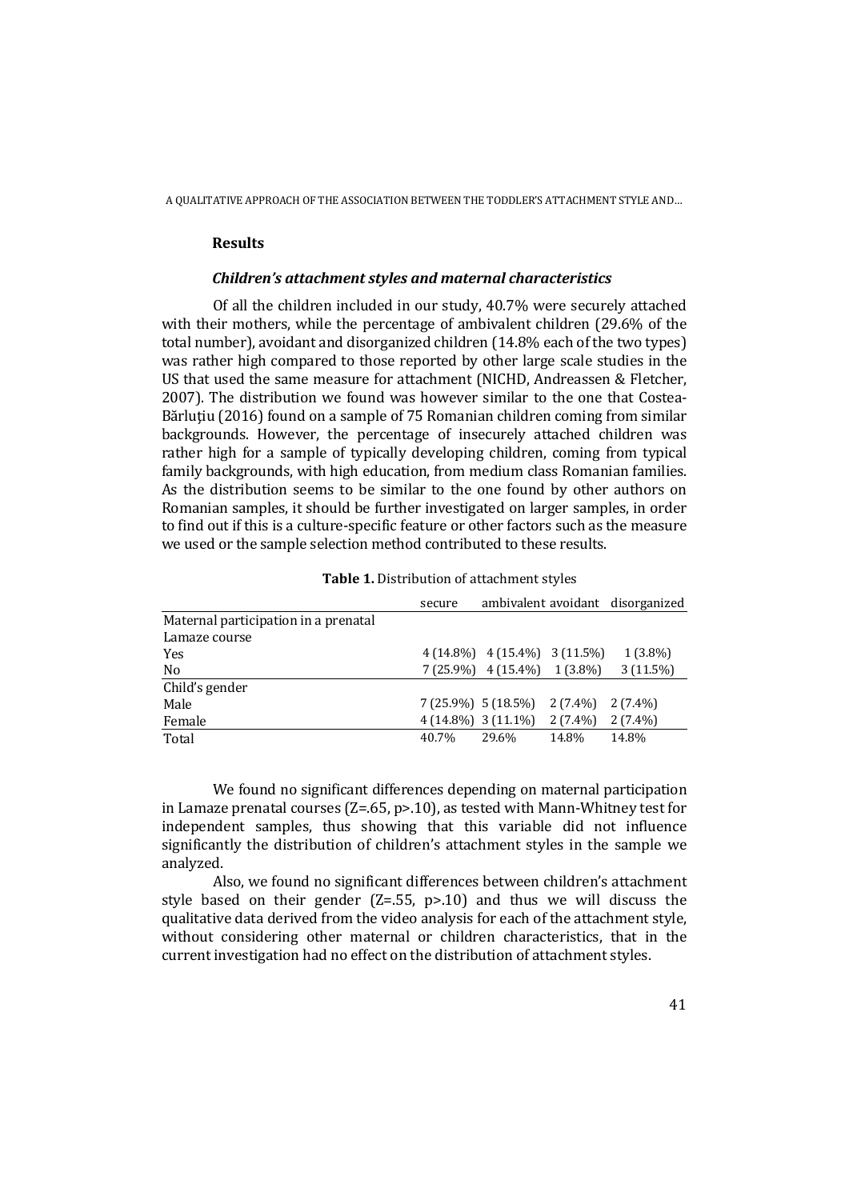#### **Results**

#### *Children's attachment styles and maternal characteristics*

Of all the children included in our study, 40.7% were securely attached with their mothers, while the percentage of ambivalent children (29.6% of the total number), avoidant and disorganized children (14.8% each of the two types) was rather high compared to those reported by other large scale studies in the US that used the same measure for attachment (NICHD, Andreassen & Fletcher, 2007). The distribution we found was however similar to the one that Costea-Bărluţiu (2016) found on a sample of 75 Romanian children coming from similar backgrounds. However, the percentage of insecurely attached children was rather high for a sample of typically developing children, coming from typical family backgrounds, with high education, from medium class Romanian families. As the distribution seems to be similar to the one found by other authors on Romanian samples, it should be further investigated on larger samples, in order to find out if this is a culture-specific feature or other factors such as the measure we used or the sample selection method contributed to these results.

|                                      | secure |                                      |       | ambivalent avoidant disorganized |
|--------------------------------------|--------|--------------------------------------|-------|----------------------------------|
| Maternal participation in a prenatal |        |                                      |       |                                  |
| Lamaze course                        |        |                                      |       |                                  |
| Yes                                  |        | $4(14.8\%)$ $4(15.4\%)$ $3(11.5\%)$  |       | $1(3.8\%)$                       |
| No                                   |        | $7(25.9\%)$ 4 $(15.4\%)$ 1 $(3.8\%)$ |       | $3(11.5\%)$                      |
| Child's gender                       |        |                                      |       |                                  |
| Male                                 |        | $7(25.9\%)$ 5 $(18.5\%)$ 2 $(7.4\%)$ |       | $2(7.4\%)$                       |
| Female                               |        | $4(14.8\%)$ 3 $(11.1\%)$ 2 $(7.4\%)$ |       | $2(7.4\%)$                       |
| Total                                | 40.7%  | 29.6%                                | 14.8% | 14.8%                            |

**Table 1.** Distribution of attachment styles

We found no significant differences depending on maternal participation in Lamaze prenatal courses  $(Z=0.65, p>0.10)$ , as tested with Mann-Whitney test for independent samples, thus showing that this variable did not influence significantly the distribution of children's attachment styles in the sample we analyzed.

Also, we found no significant differences between children's attachment style based on their gender  $(Z=0.55, p>0.10)$  and thus we will discuss the qualitative data derived from the video analysis for each of the attachment style, without considering other maternal or children characteristics, that in the current investigation had no effect on the distribution of attachment styles.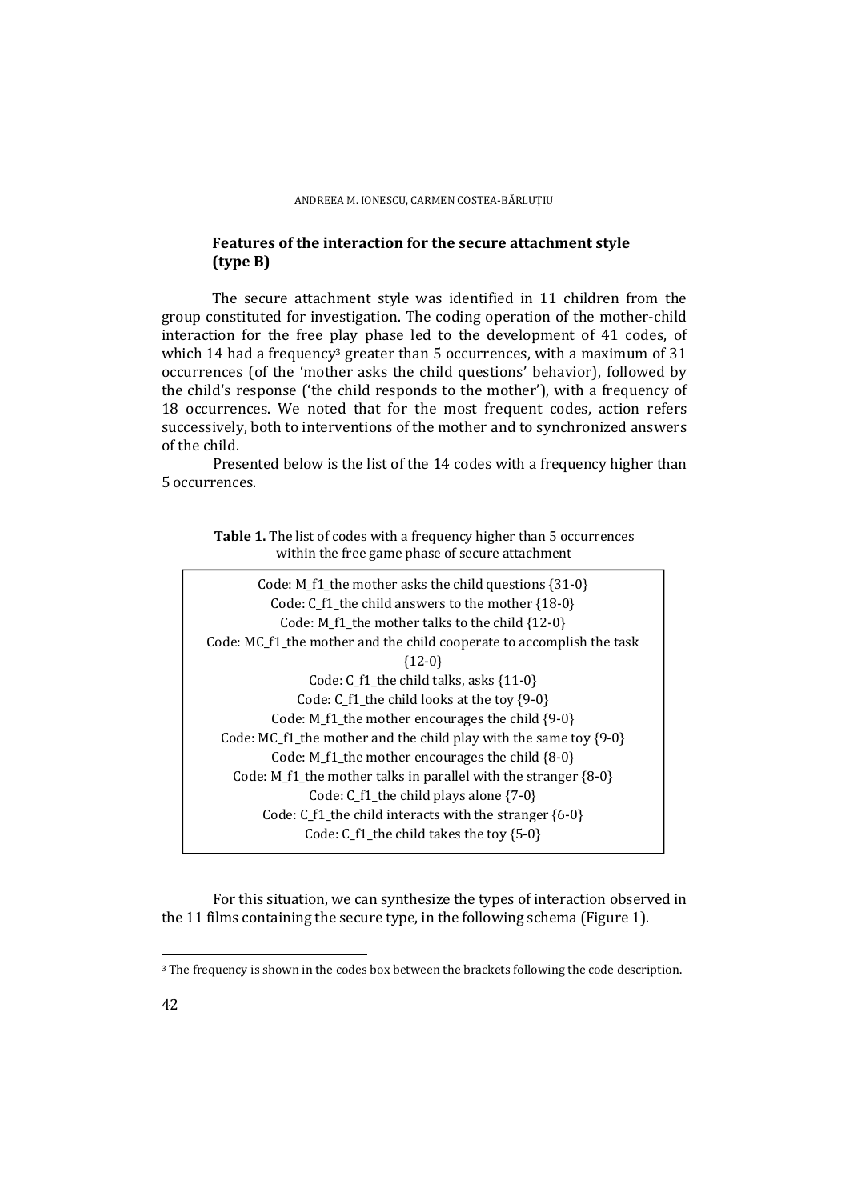### **Features of the interaction for the secure attachment style (type B)**

The secure attachment style was identified in 11 children from the group constituted for investigation. The coding operation of the mother-child interaction for the free play phase led to the development of 41 codes, of which 14 had a frequency<sup>3</sup> greater than 5 occurrences, with a maximum of 31 occurrences (of the 'mother asks the child questions' behavior), followed by the child's response ('the child responds to the mother'), with a frequency of 18 occurrences. We noted that for the most frequent codes, action refers successively, both to interventions of the mother and to synchronized answers of the child.

Presented below is the list of the 14 codes with a frequency higher than 5 occurrences.

**Table 1.** The list of codes with a frequency higher than 5 occurrences within the free game phase of secure attachment

Code: M\_f1\_the mother asks the child questions {31-0} Code: C\_f1\_the child answers to the mother {18-0} Code: M\_f1\_the mother talks to the child {12-0} Code: MC\_f1\_the mother and the child cooperate to accomplish the task {12-0} Code: C\_f1\_the child talks, asks {11-0} Code: C\_f1\_the child looks at the toy {9-0} Code: M\_f1\_the mother encourages the child {9-0} Code: MC\_f1\_the mother and the child play with the same toy  $\{9-0\}$ Code:  $M_f1$  the mother encourages the child  ${8-0}$ Code: M\_f1\_the mother talks in parallel with the stranger  ${8-0}$ Code:  $C_f1$  the child plays alone  $\{7-0\}$ Code: C\_f1\_the child interacts with the stranger {6-0} Code: C\_f1\_the child takes the toy {5-0}

For this situation, we can synthesize the types of interaction observed in the 11 films containing the secure type, in the following schema (Figure 1).

 $\overline{a}$ 

<sup>&</sup>lt;sup>3</sup> The frequency is shown in the codes box between the brackets following the code description.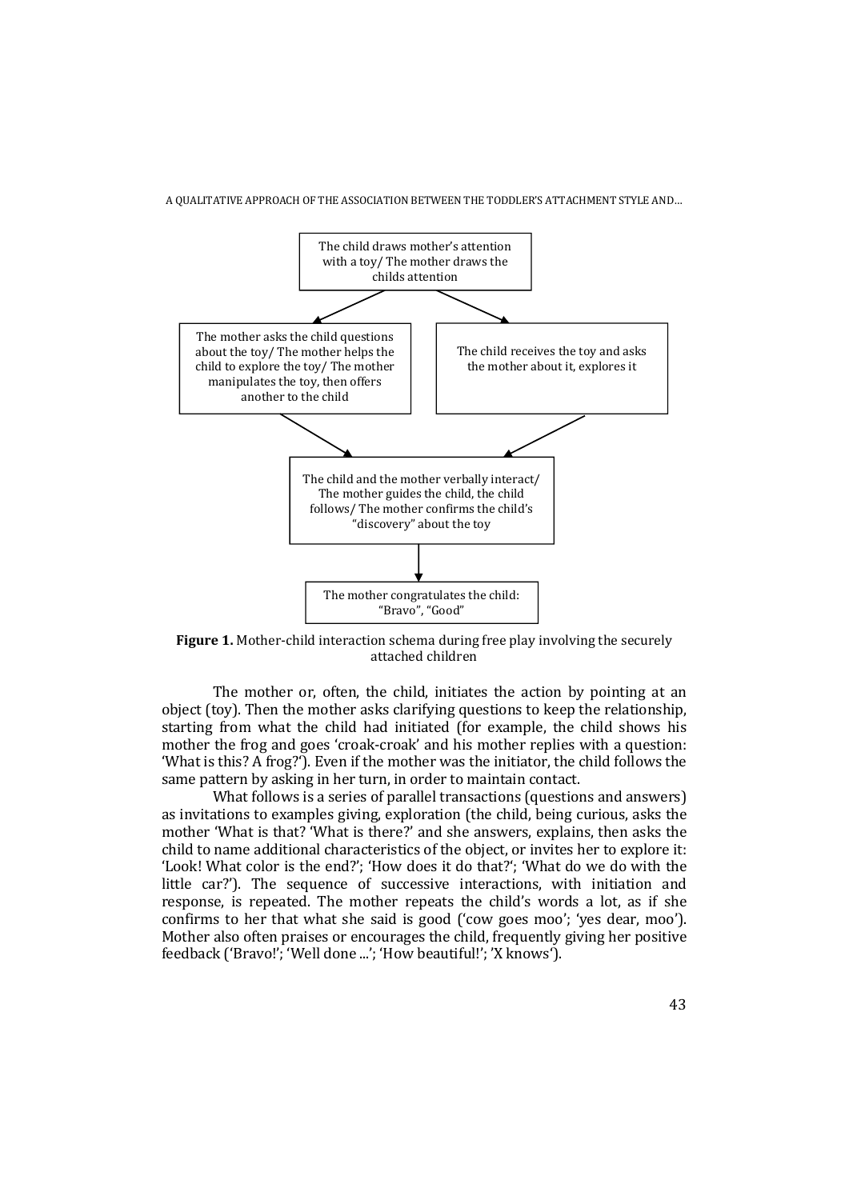

**Figure 1.** Mother-child interaction schema during free play involving the securely attached children

The mother or, often, the child, initiates the action by pointing at an object (toy). Then the mother asks clarifying questions to keep the relationship, starting from what the child had initiated (for example, the child shows his mother the frog and goes 'croak-croak' and his mother replies with a question: 'What is this? A frog?'). Even if the mother was the initiator, the child follows the same pattern by asking in her turn, in order to maintain contact.

What follows is a series of parallel transactions (questions and answers) as invitations to examples giving, exploration (the child, being curious, asks the mother 'What is that? 'What is there?' and she answers, explains, then asks the child to name additional characteristics of the object, or invites her to explore it: 'Look! What color is the end?'; 'How does it do that?'; 'What do we do with the little car?'). The sequence of successive interactions, with initiation and response, is repeated. The mother repeats the child's words a lot, as if she confirms to her that what she said is good ('cow goes moo'; 'yes dear, moo'). Mother also often praises or encourages the child, frequently giving her positive feedback ('Bravo!'; 'Well done ...'; 'How beautiful!'; 'X knows').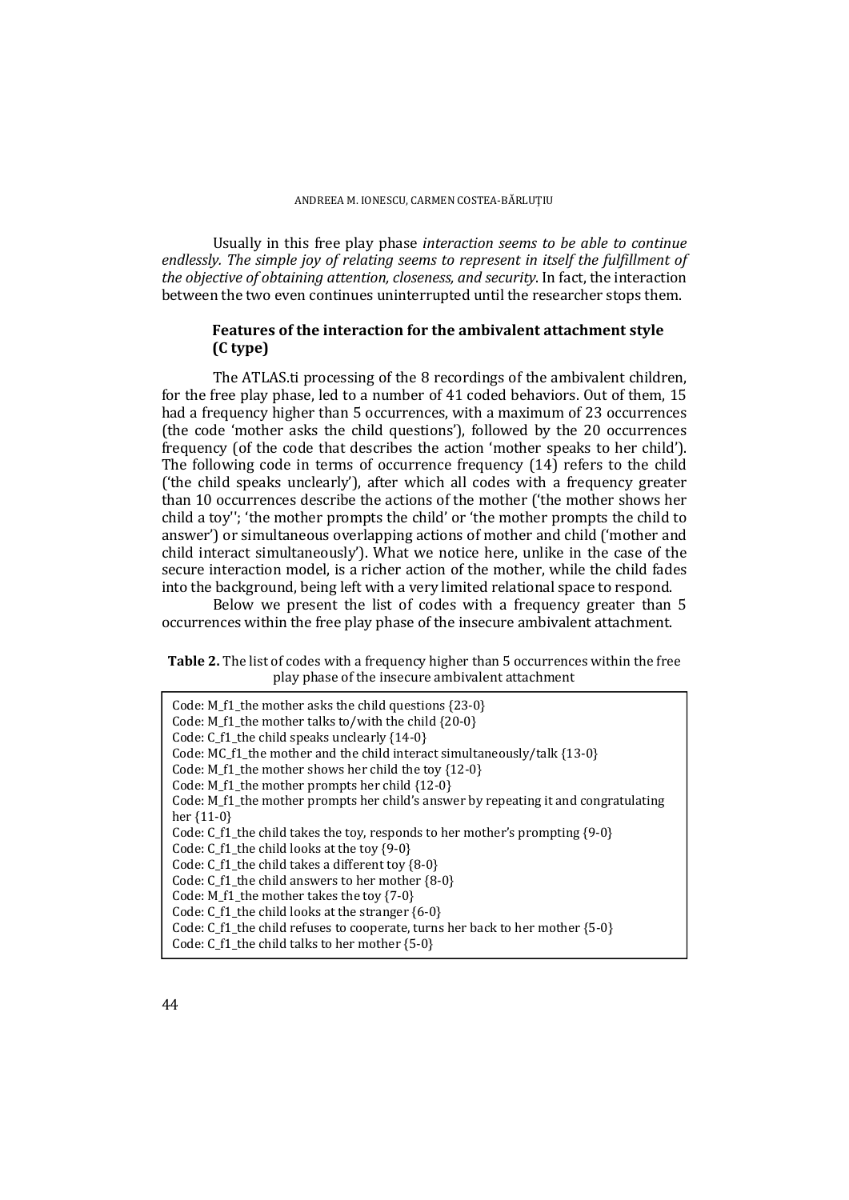Usually in this free play phase *interaction seems to be able to continue endlessly. The simple joy of relating seems to represent in itself the fulfillment of the objective of obtaining attention, closeness, and security*. In fact, the interaction between the two even continues uninterrupted until the researcher stops them.

### **Features of the interaction for the ambivalent attachment style (C type)**

 The ATLAS.ti processing of the 8 recordings of the ambivalent children, for the free play phase, led to a number of 41 coded behaviors. Out of them, 15 had a frequency higher than 5 occurrences, with a maximum of 23 occurrences (the code 'mother asks the child questions'), followed by the 20 occurrences frequency (of the code that describes the action 'mother speaks to her child'). The following code in terms of occurrence frequency (14) refers to the child ('the child speaks unclearly'), after which all codes with a frequency greater than 10 occurrences describe the actions of the mother ('the mother shows her child a toy''; 'the mother prompts the child' or 'the mother prompts the child to answer') or simultaneous overlapping actions of mother and child ('mother and child interact simultaneously'). What we notice here, unlike in the case of the secure interaction model, is a richer action of the mother, while the child fades into the background, being left with a very limited relational space to respond.

Below we present the list of codes with a frequency greater than 5 occurrences within the free play phase of the insecure ambivalent attachment.

| Table 2. The list of codes with a frequency higher than 5 occurrences within the free |
|---------------------------------------------------------------------------------------|
| play phase of the insecure ambivalent attachment                                      |

| Code: M_f1_the mother asks the child questions $\{23-0\}$<br>Code: M_f1_the mother talks to/with the child {20-0}<br>Code: $C_f1$ _the child speaks unclearly $\{14-0\}$<br>Code: MC f1 the mother and the child interact simultaneously/talk $\{13-0\}$<br>Code: M $f1$ the mother shows her child the toy $\{12-0\}$<br>Code: M f1 the mother prompts her child {12-0}<br>Code: M_f1_the mother prompts her child's answer by repeating it and congratulating<br>her $\{11-0\}$ |
|-----------------------------------------------------------------------------------------------------------------------------------------------------------------------------------------------------------------------------------------------------------------------------------------------------------------------------------------------------------------------------------------------------------------------------------------------------------------------------------|
| Code: C f1 the child takes the toy, responds to her mother's prompting $\{9-0\}$<br>Code: C $f1$ the child looks at the toy $\{9-0\}$                                                                                                                                                                                                                                                                                                                                             |
| Code: C $f1$ the child takes a different toy $\{8-0\}$                                                                                                                                                                                                                                                                                                                                                                                                                            |
| Code: $C$ f1 the child answers to her mother $\{8-0\}$                                                                                                                                                                                                                                                                                                                                                                                                                            |
| Code: $M_f1$ _the mother takes the toy {7-0}                                                                                                                                                                                                                                                                                                                                                                                                                                      |
| Code: C $f1$ the child looks at the stranger $\{6-0\}$                                                                                                                                                                                                                                                                                                                                                                                                                            |
| Code: C f1 the child refuses to cooperate, turns her back to her mother $(5-0)$                                                                                                                                                                                                                                                                                                                                                                                                   |
| Code: $C_f1$ _the child talks to her mother $\{5-0\}$                                                                                                                                                                                                                                                                                                                                                                                                                             |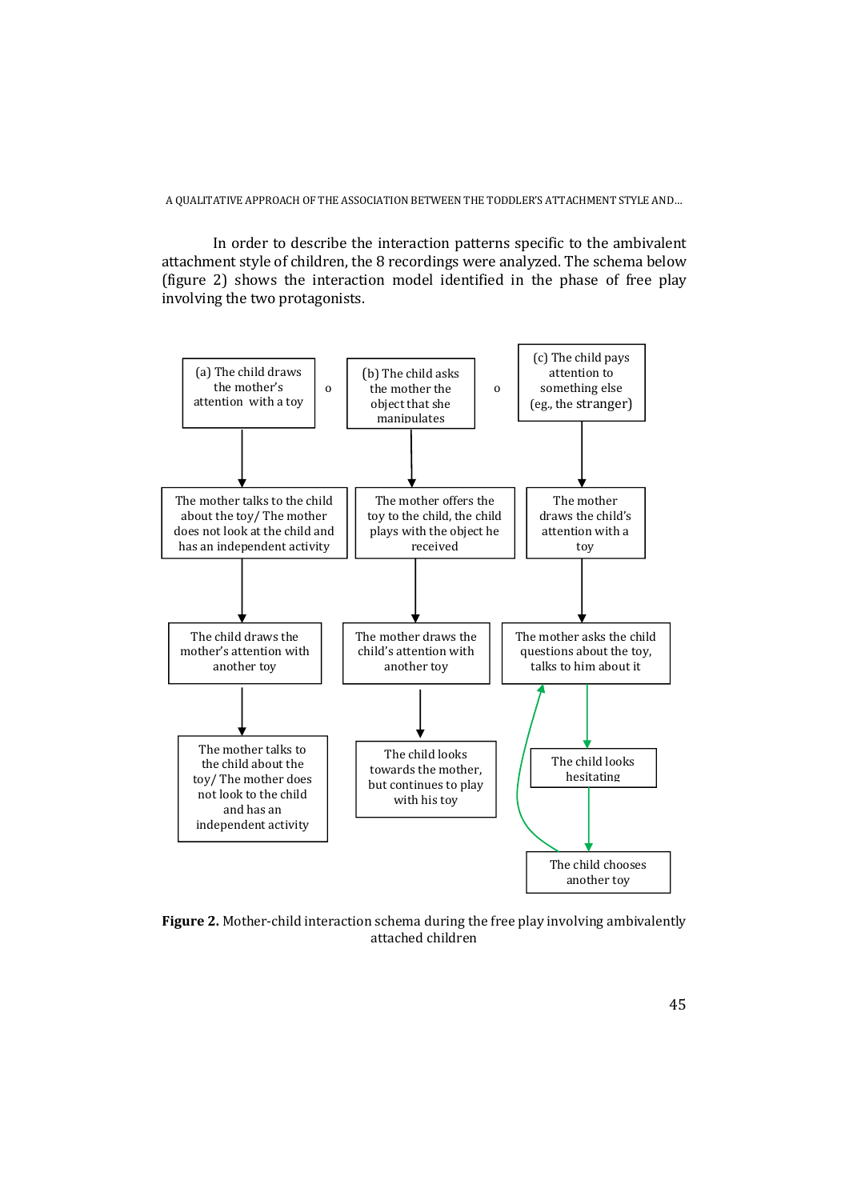In order to describe the interaction patterns specific to the ambivalent attachment style of children, the 8 recordings were analyzed. The schema below (figure 2) shows the interaction model identified in the phase of free play involving the two protagonists.



**Figure 2.** Mother-child interaction schema during the free play involving ambivalently attached children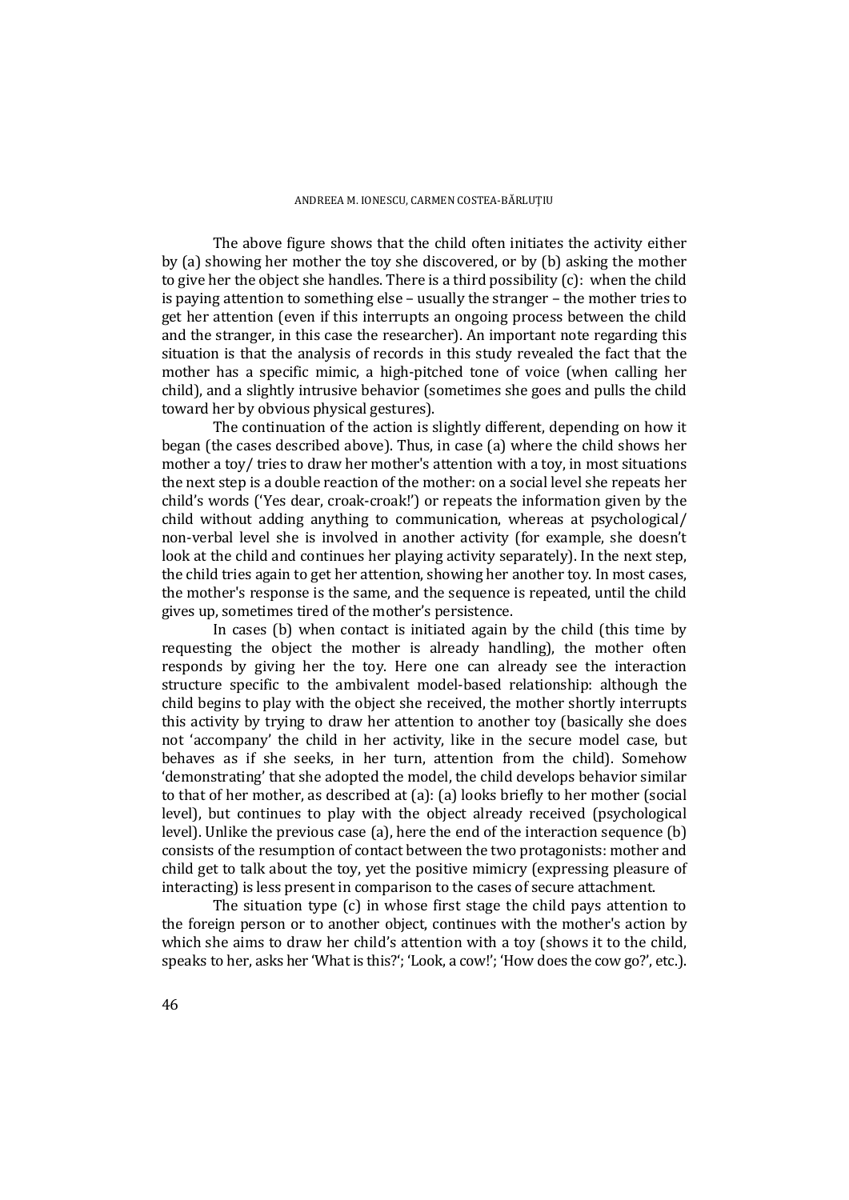The above figure shows that the child often initiates the activity either by (a) showing her mother the toy she discovered, or by (b) asking the mother to give her the object she handles. There is a third possibility (c): when the child is paying attention to something else – usually the stranger – the mother tries to get her attention (even if this interrupts an ongoing process between the child and the stranger, in this case the researcher). An important note regarding this situation is that the analysis of records in this study revealed the fact that the mother has a specific mimic, a high-pitched tone of voice (when calling her child), and a slightly intrusive behavior (sometimes she goes and pulls the child toward her by obvious physical gestures).

The continuation of the action is slightly different, depending on how it began (the cases described above). Thus, in case (a) where the child shows her mother a toy/ tries to draw her mother's attention with a toy, in most situations the next step is a double reaction of the mother: on a social level she repeats her child's words ('Yes dear, croak-croak!') or repeats the information given by the child without adding anything to communication, whereas at psychological/ non-verbal level she is involved in another activity (for example, she doesn't look at the child and continues her playing activity separately). In the next step, the child tries again to get her attention, showing her another toy. In most cases, the mother's response is the same, and the sequence is repeated, until the child gives up, sometimes tired of the mother's persistence.

In cases (b) when contact is initiated again by the child (this time by requesting the object the mother is already handling), the mother often responds by giving her the toy. Here one can already see the interaction structure specific to the ambivalent model-based relationship: although the child begins to play with the object she received, the mother shortly interrupts this activity by trying to draw her attention to another toy (basically she does not 'accompany' the child in her activity, like in the secure model case, but behaves as if she seeks, in her turn, attention from the child). Somehow 'demonstrating' that she adopted the model, the child develops behavior similar to that of her mother, as described at (a): (a) looks briefly to her mother (social level), but continues to play with the object already received (psychological level). Unlike the previous case (a), here the end of the interaction sequence (b) consists of the resumption of contact between the two protagonists: mother and child get to talk about the toy, yet the positive mimicry (expressing pleasure of interacting) is less present in comparison to the cases of secure attachment.

The situation type (c) in whose first stage the child pays attention to the foreign person or to another object, continues with the mother's action by which she aims to draw her child's attention with a toy (shows it to the child, speaks to her, asks her 'What is this?'; 'Look, a cow!'; 'How does the cow go?', etc.).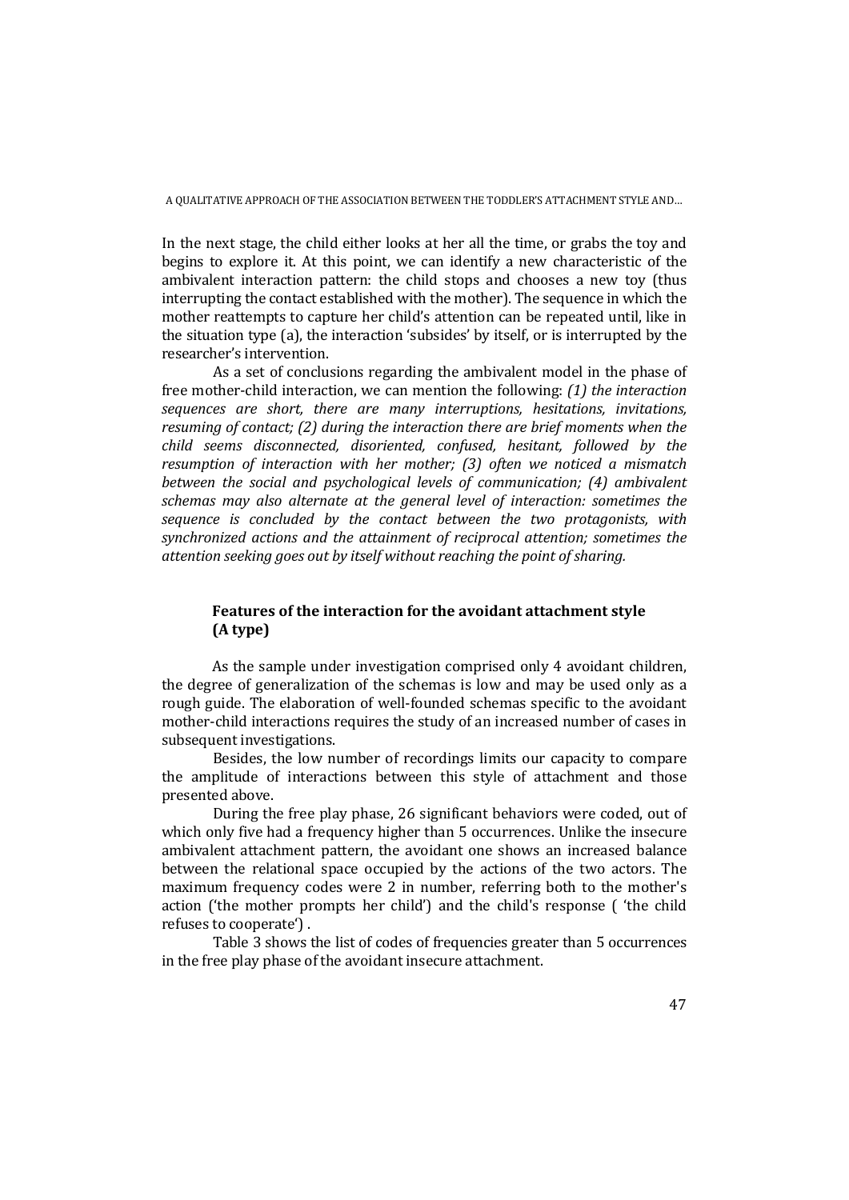In the next stage, the child either looks at her all the time, or grabs the toy and begins to explore it. At this point, we can identify a new characteristic of the ambivalent interaction pattern: the child stops and chooses a new toy (thus interrupting the contact established with the mother). The sequence in which the mother reattempts to capture her child's attention can be repeated until, like in the situation type (a), the interaction 'subsides' by itself, or is interrupted by the researcher's intervention.

As a set of conclusions regarding the ambivalent model in the phase of free mother-child interaction, we can mention the following: *(1) the interaction sequences are short, there are many interruptions, hesitations, invitations, resuming of contact; (2) during the interaction there are brief moments when the child seems disconnected, disoriented, confused, hesitant, followed by the resumption of interaction with her mother; (3) often we noticed a mismatch between the social and psychological levels of communication; (4) ambivalent schemas may also alternate at the general level of interaction: sometimes the sequence is concluded by the contact between the two protagonists, with synchronized actions and the attainment of reciprocal attention; sometimes the attention seeking goes out by itself without reaching the point of sharing.* 

## **Features of the interaction for the avoidant attachment style (A type)**

As the sample under investigation comprised only 4 avoidant children, the degree of generalization of the schemas is low and may be used only as a rough guide. The elaboration of well-founded schemas specific to the avoidant mother-child interactions requires the study of an increased number of cases in subsequent investigations.

Besides, the low number of recordings limits our capacity to compare the amplitude of interactions between this style of attachment and those presented above.

During the free play phase, 26 significant behaviors were coded, out of which only five had a frequency higher than 5 occurrences. Unlike the insecure ambivalent attachment pattern, the avoidant one shows an increased balance between the relational space occupied by the actions of the two actors. The maximum frequency codes were 2 in number, referring both to the mother's action ('the mother prompts her child') and the child's response ( 'the child refuses to cooperate') .

Table 3 shows the list of codes of frequencies greater than 5 occurrences in the free play phase of the avoidant insecure attachment.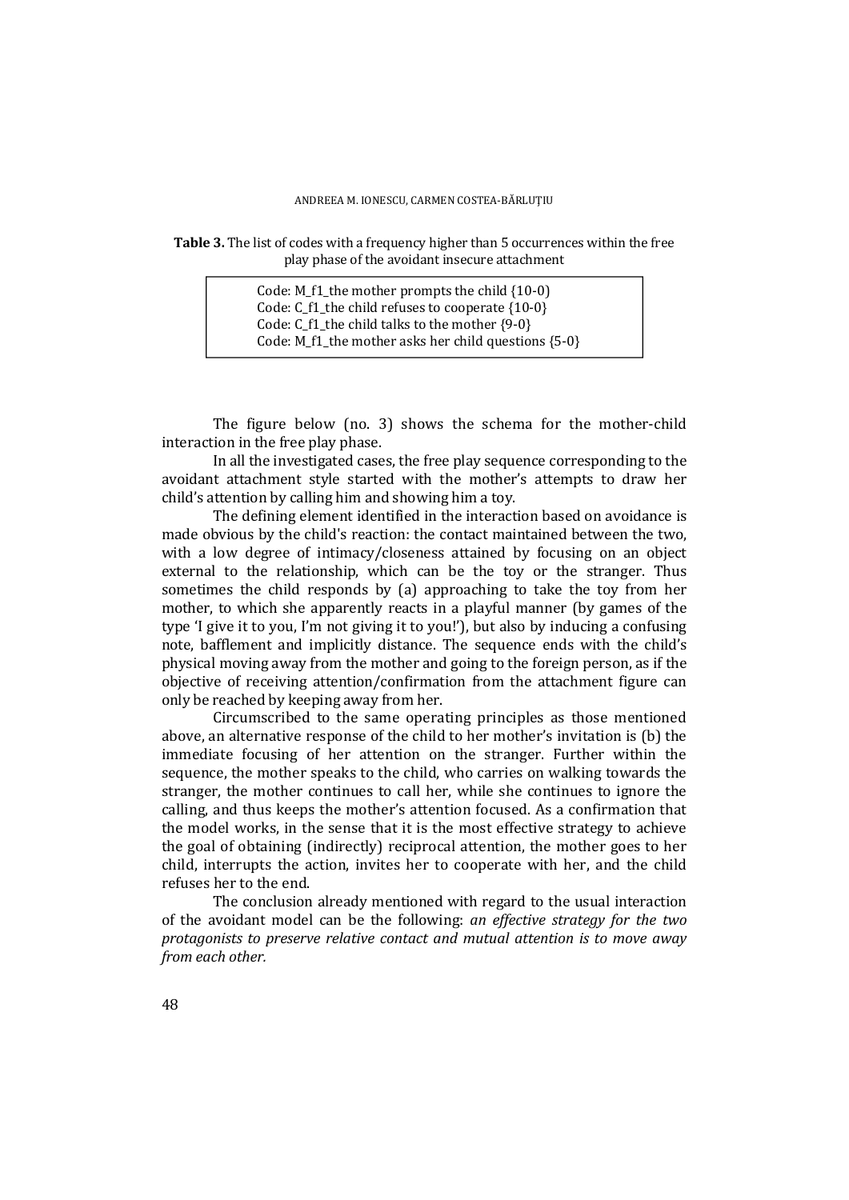### **Table 3.** The list of codes with a frequency higher than 5 occurrences within the free play phase of the avoidant insecure attachment

Code: M\_f1\_the mother prompts the child {10-0) Code: C  $f1$  the child refuses to cooperate  ${10-0}$ Code: C\_f1\_the child talks to the mother {9-0} Code: M\_f1\_the mother asks her child questions  ${5-0}$ 

The figure below (no. 3) shows the schema for the mother-child interaction in the free play phase.

In all the investigated cases, the free play sequence corresponding to the avoidant attachment style started with the mother's attempts to draw her child's attention by calling him and showing him a toy.

The defining element identified in the interaction based on avoidance is made obvious by the child's reaction: the contact maintained between the two, with a low degree of intimacy/closeness attained by focusing on an object external to the relationship, which can be the toy or the stranger. Thus sometimes the child responds by (a) approaching to take the toy from her mother, to which she apparently reacts in a playful manner (by games of the type 'I give it to you, I'm not giving it to you!'), but also by inducing a confusing note, bafflement and implicitly distance. The sequence ends with the child's physical moving away from the mother and going to the foreign person, as if the objective of receiving attention/confirmation from the attachment figure can only be reached by keeping away from her.

Circumscribed to the same operating principles as those mentioned above, an alternative response of the child to her mother's invitation is (b) the immediate focusing of her attention on the stranger. Further within the sequence, the mother speaks to the child, who carries on walking towards the stranger, the mother continues to call her, while she continues to ignore the calling, and thus keeps the mother's attention focused. As a confirmation that the model works, in the sense that it is the most effective strategy to achieve the goal of obtaining (indirectly) reciprocal attention, the mother goes to her child, interrupts the action, invites her to cooperate with her, and the child refuses her to the end.

The conclusion already mentioned with regard to the usual interaction of the avoidant model can be the following: *an effective strategy for the two protagonists to preserve relative contact and mutual attention is to move away from each other.*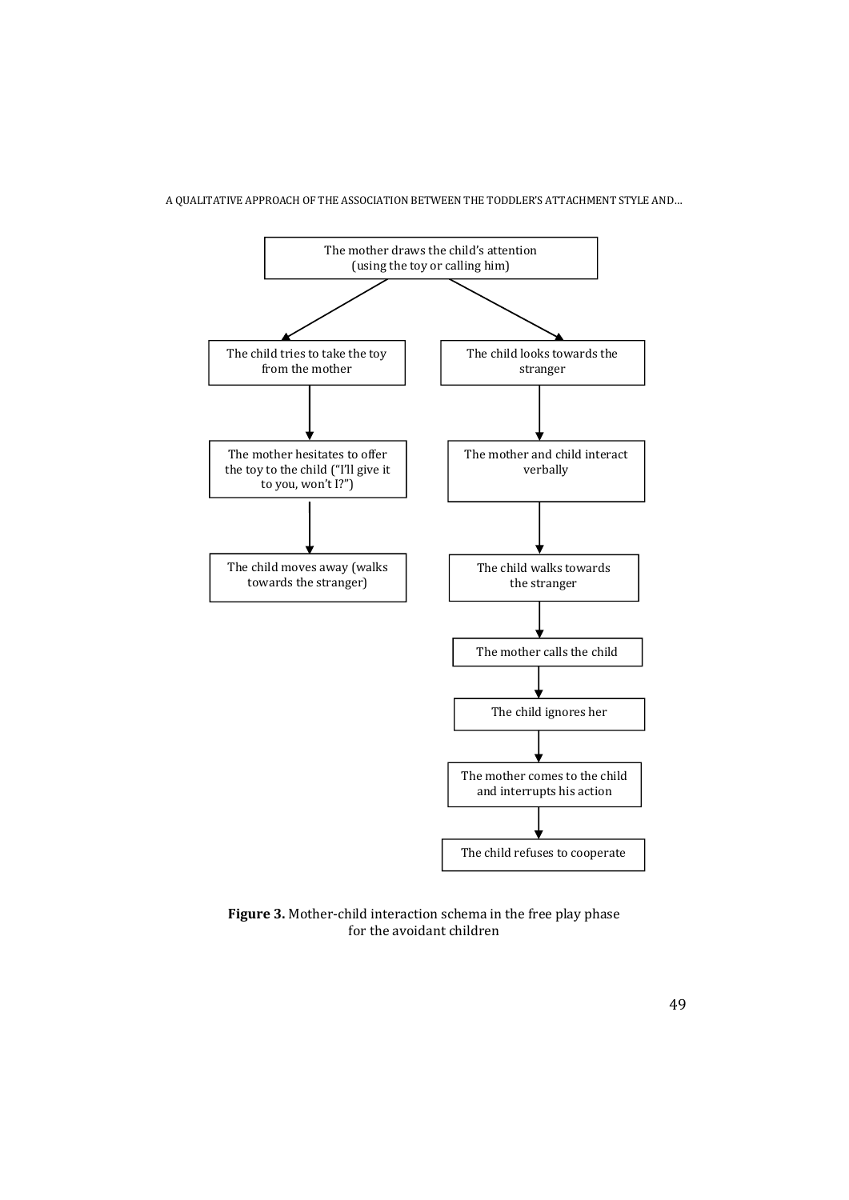

**Figure 3.** Mother-child interaction schema in the free play phase for the avoidant children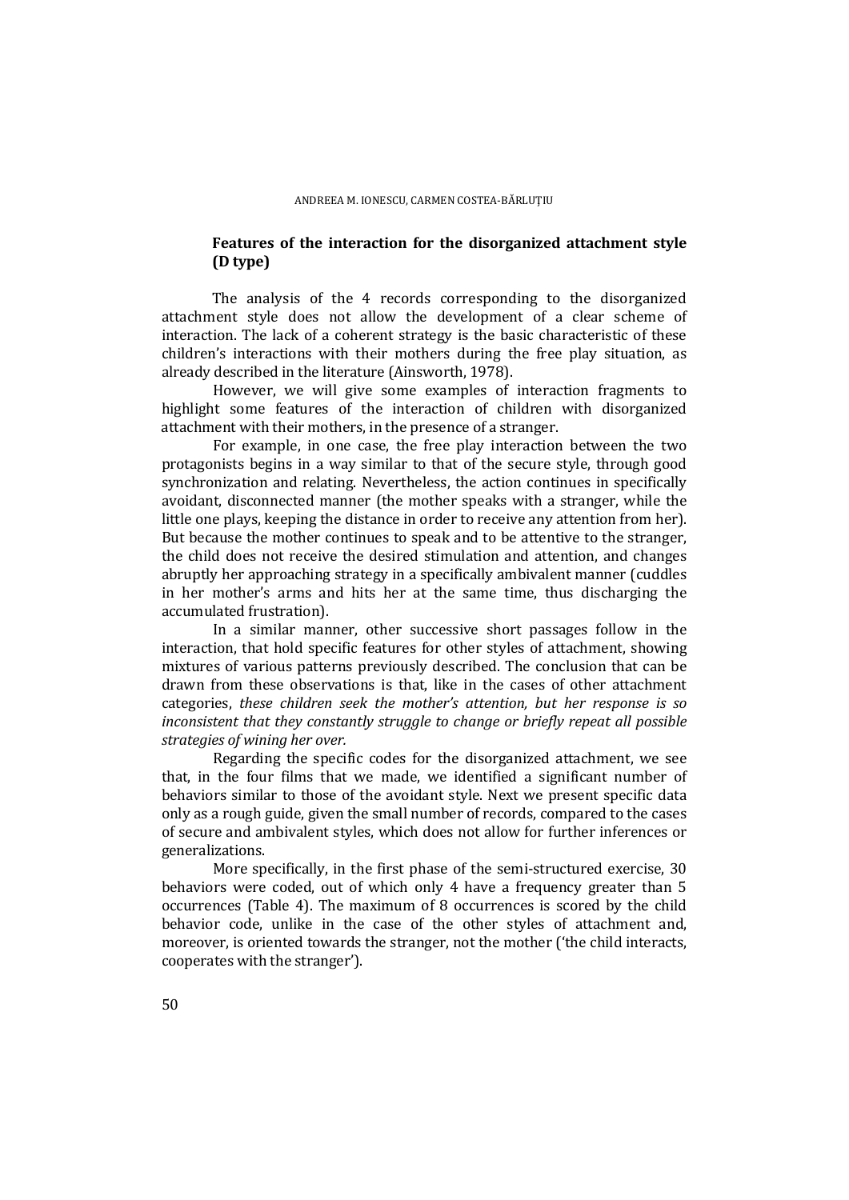### **Features of the interaction for the disorganized attachment style (D type)**

The analysis of the 4 records corresponding to the disorganized attachment style does not allow the development of a clear scheme of interaction. The lack of a coherent strategy is the basic characteristic of these children's interactions with their mothers during the free play situation, as already described in the literature (Ainsworth, 1978).

However, we will give some examples of interaction fragments to highlight some features of the interaction of children with disorganized attachment with their mothers, in the presence of a stranger.

For example, in one case, the free play interaction between the two protagonists begins in a way similar to that of the secure style, through good synchronization and relating. Nevertheless, the action continues in specifically avoidant, disconnected manner (the mother speaks with a stranger, while the little one plays, keeping the distance in order to receive any attention from her). But because the mother continues to speak and to be attentive to the stranger, the child does not receive the desired stimulation and attention, and changes abruptly her approaching strategy in a specifically ambivalent manner (cuddles in her mother's arms and hits her at the same time, thus discharging the accumulated frustration).

In a similar manner, other successive short passages follow in the interaction, that hold specific features for other styles of attachment, showing mixtures of various patterns previously described. The conclusion that can be drawn from these observations is that, like in the cases of other attachment categories, *these children seek the mother's attention, but her response is so inconsistent that they constantly struggle to change or briefly repeat all possible strategies of wining her over.*

Regarding the specific codes for the disorganized attachment, we see that, in the four films that we made, we identified a significant number of behaviors similar to those of the avoidant style. Next we present specific data only as a rough guide, given the small number of records, compared to the cases of secure and ambivalent styles, which does not allow for further inferences or generalizations.

More specifically, in the first phase of the semi-structured exercise, 30 behaviors were coded, out of which only 4 have a frequency greater than 5 occurrences (Table 4). The maximum of 8 occurrences is scored by the child behavior code, unlike in the case of the other styles of attachment and, moreover, is oriented towards the stranger, not the mother ('the child interacts, cooperates with the stranger').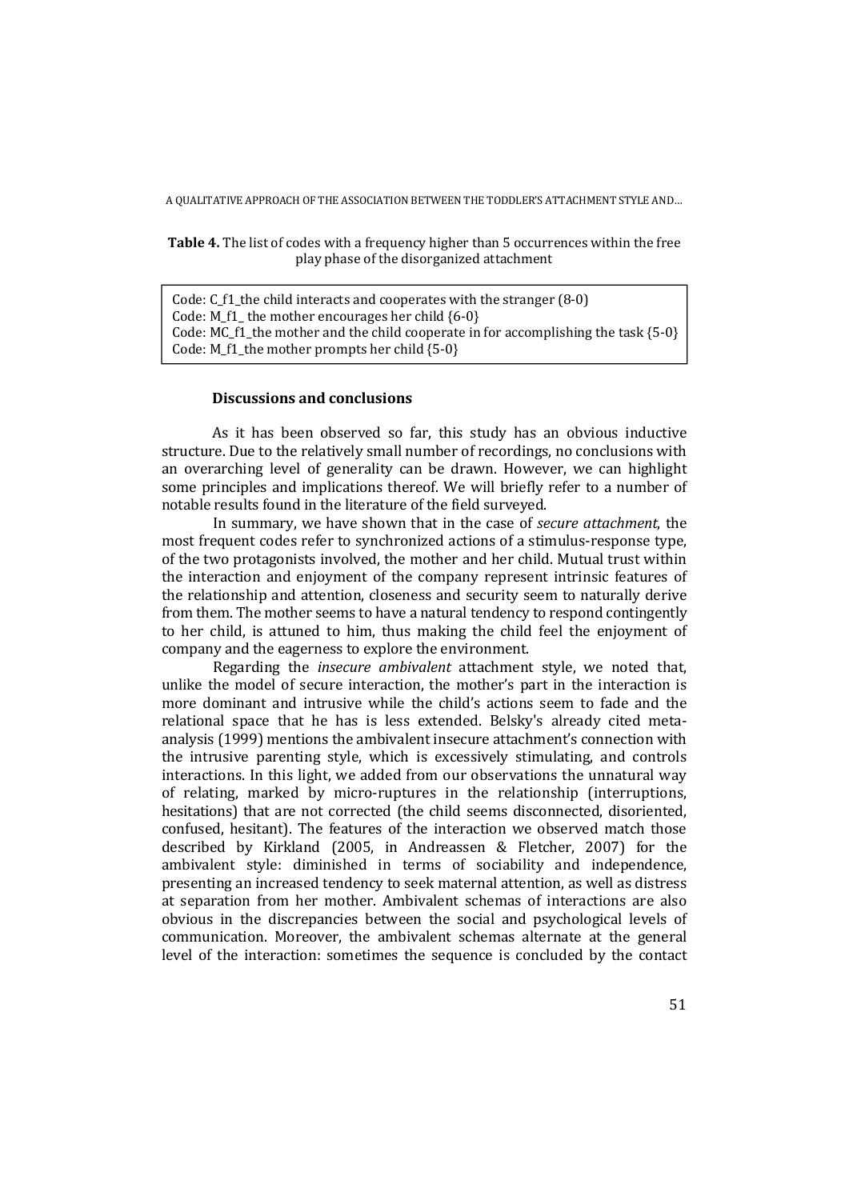**Table 4.** The list of codes with a frequency higher than 5 occurrences within the free play phase of the disorganized attachment

Code: C\_f1\_the child interacts and cooperates with the stranger (8-0) Code: M\_f1\_ the mother encourages her child  ${6-0}$ Code: MC f1 the mother and the child cooperate in for accomplishing the task  ${5-0}$ Code: M\_f1\_the mother prompts her child  ${5-0}$ 

### **Discussions and conclusions**

As it has been observed so far, this study has an obvious inductive structure. Due to the relatively small number of recordings, no conclusions with an overarching level of generality can be drawn. However, we can highlight some principles and implications thereof. We will briefly refer to a number of notable results found in the literature of the field surveyed.

In summary, we have shown that in the case of *secure attachment*, the most frequent codes refer to synchronized actions of a stimulus-response type, of the two protagonists involved, the mother and her child. Mutual trust within the interaction and enjoyment of the company represent intrinsic features of the relationship and attention, closeness and security seem to naturally derive from them. The mother seems to have a natural tendency to respond contingently to her child, is attuned to him, thus making the child feel the enjoyment of company and the eagerness to explore the environment.

Regarding the *insecure ambivalent* attachment style, we noted that, unlike the model of secure interaction, the mother's part in the interaction is more dominant and intrusive while the child's actions seem to fade and the relational space that he has is less extended. Belsky's already cited metaanalysis (1999) mentions the ambivalent insecure attachment's connection with the intrusive parenting style, which is excessively stimulating, and controls interactions. In this light, we added from our observations the unnatural way of relating, marked by micro-ruptures in the relationship (interruptions, hesitations) that are not corrected (the child seems disconnected, disoriented, confused, hesitant). The features of the interaction we observed match those described by Kirkland (2005, in Andreassen & Fletcher, 2007) for the ambivalent style: diminished in terms of sociability and independence, presenting an increased tendency to seek maternal attention, as well as distress at separation from her mother. Ambivalent schemas of interactions are also obvious in the discrepancies between the social and psychological levels of communication. Moreover, the ambivalent schemas alternate at the general level of the interaction: sometimes the sequence is concluded by the contact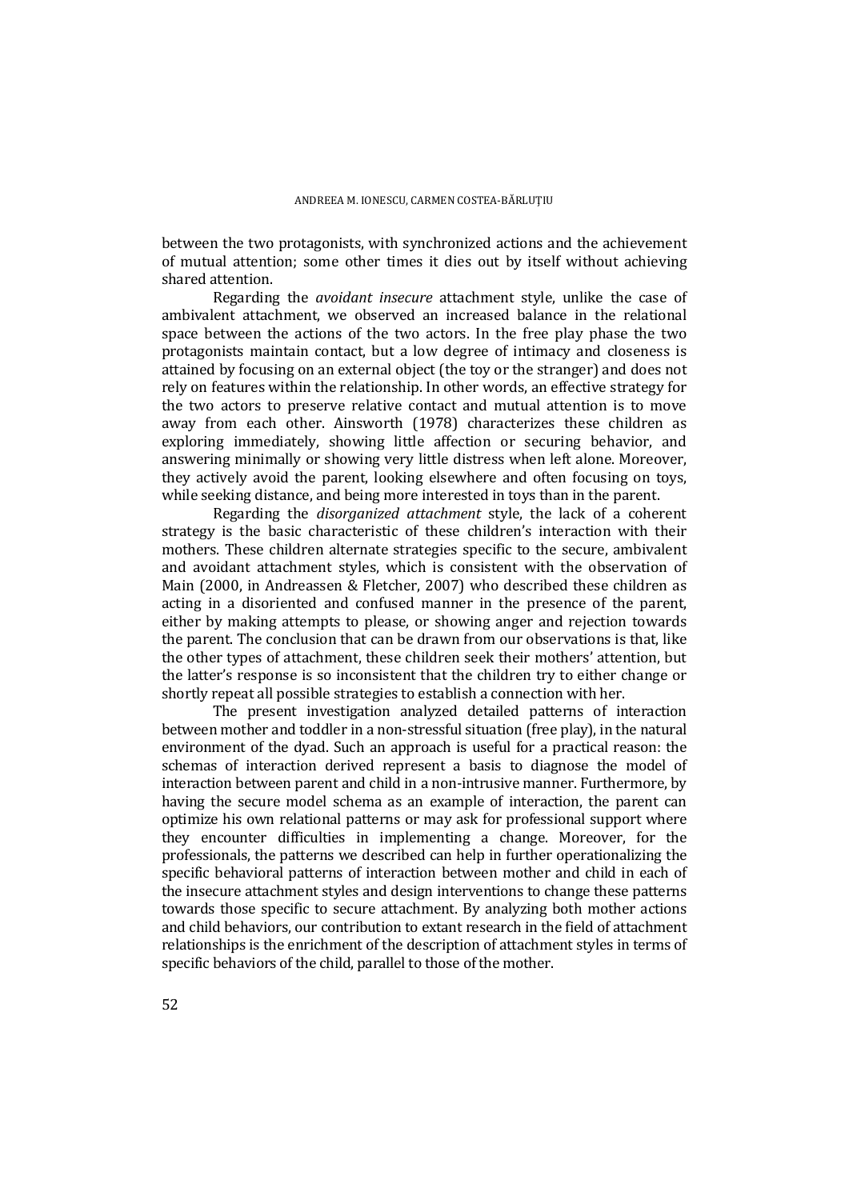between the two protagonists, with synchronized actions and the achievement of mutual attention; some other times it dies out by itself without achieving shared attention.

Regarding the *avoidant insecure* attachment style, unlike the case of ambivalent attachment, we observed an increased balance in the relational space between the actions of the two actors. In the free play phase the two protagonists maintain contact, but a low degree of intimacy and closeness is attained by focusing on an external object (the toy or the stranger) and does not rely on features within the relationship. In other words, an effective strategy for the two actors to preserve relative contact and mutual attention is to move away from each other. Ainsworth (1978) characterizes these children as exploring immediately, showing little affection or securing behavior, and answering minimally or showing very little distress when left alone. Moreover, they actively avoid the parent, looking elsewhere and often focusing on toys, while seeking distance, and being more interested in toys than in the parent.

Regarding the *disorganized attachment* style, the lack of a coherent strategy is the basic characteristic of these children's interaction with their mothers. These children alternate strategies specific to the secure, ambivalent and avoidant attachment styles, which is consistent with the observation of Main (2000, in Andreassen & Fletcher, 2007) who described these children as acting in a disoriented and confused manner in the presence of the parent, either by making attempts to please, or showing anger and rejection towards the parent. The conclusion that can be drawn from our observations is that, like the other types of attachment, these children seek their mothers' attention, but the latter's response is so inconsistent that the children try to either change or shortly repeat all possible strategies to establish a connection with her.

The present investigation analyzed detailed patterns of interaction between mother and toddler in a non-stressful situation (free play), in the natural environment of the dyad. Such an approach is useful for a practical reason: the schemas of interaction derived represent a basis to diagnose the model of interaction between parent and child in a non-intrusive manner. Furthermore, by having the secure model schema as an example of interaction, the parent can optimize his own relational patterns or may ask for professional support where they encounter difficulties in implementing a change. Moreover, for the professionals, the patterns we described can help in further operationalizing the specific behavioral patterns of interaction between mother and child in each of the insecure attachment styles and design interventions to change these patterns towards those specific to secure attachment. By analyzing both mother actions and child behaviors, our contribution to extant research in the field of attachment relationships is the enrichment of the description of attachment styles in terms of specific behaviors of the child, parallel to those of the mother.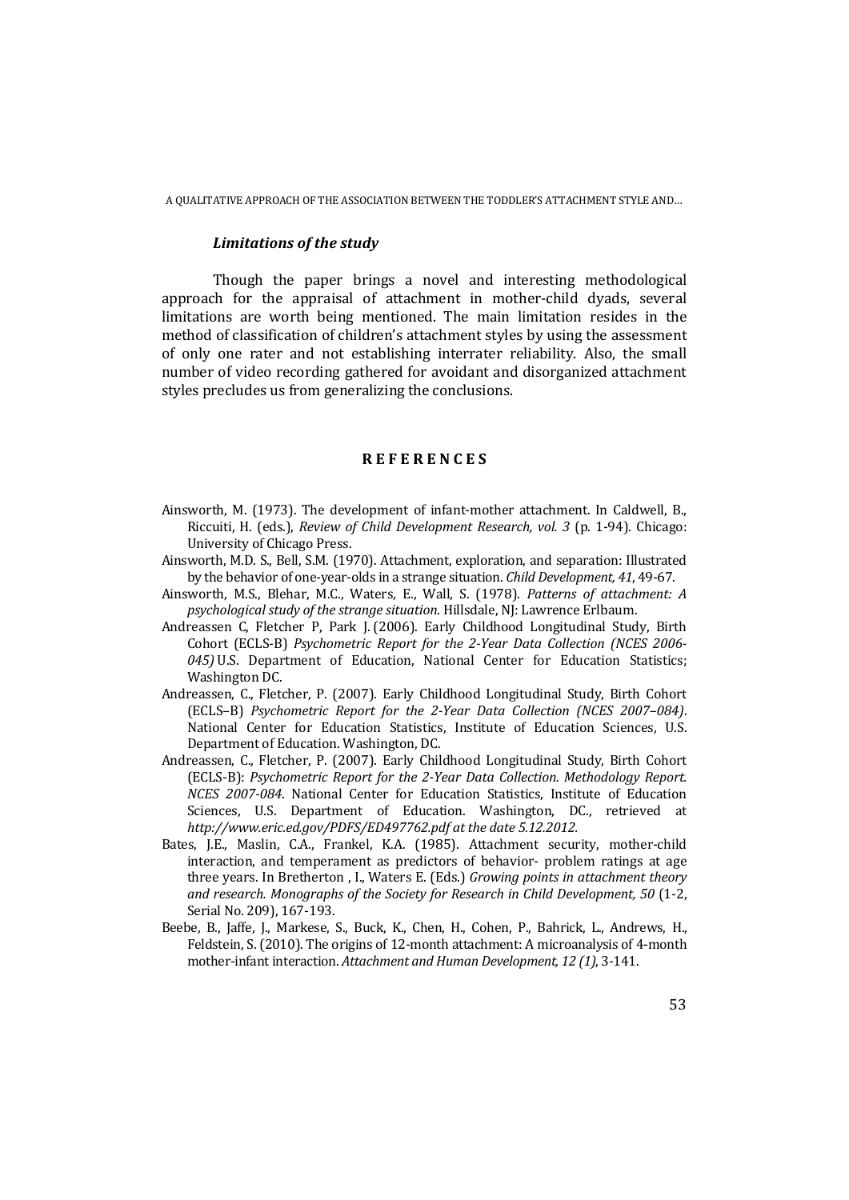#### *Limitations of the study*

Though the paper brings a novel and interesting methodological approach for the appraisal of attachment in mother-child dyads, several limitations are worth being mentioned. The main limitation resides in the method of classification of children's attachment styles by using the assessment of only one rater and not establishing interrater reliability. Also, the small number of video recording gathered for avoidant and disorganized attachment styles precludes us from generalizing the conclusions.

#### **R E F E R E N C E S**

- Ainsworth, M. (1973). The development of infant-mother attachment. In Caldwell, B., Riccuiti, H. (eds.), *Review of Child Development Research, vol. 3* (p. 1-94). Chicago: University of Chicago Press.
- Ainsworth, M.D. S., Bell, S.M. (1970). Attachment, exploration, and separation: Illustrated by the behavior of one-year-olds in a strange situation. *Child Development, 41*, 49-67.
- Ainsworth, M.S., Blehar, M.C., Waters, E., Wall, S. (1978). *Patterns of attachment: A psychological study of the strange situation*. Hillsdale, NJ: Lawrence Erlbaum.
- Andreassen C, Fletcher P, Park J. (2006). Early Childhood Longitudinal Study, Birth Cohort (ECLS-B) *Psychometric Report for the 2-Year Data Collection (NCES 2006- 045)* U.S. Department of Education, National Center for Education Statistics; Washington DC.
- Andreassen, C., Fletcher, P. (2007). Early Childhood Longitudinal Study, Birth Cohort (ECLS–B) *Psychometric Report for the 2-Year Data Collection (NCES 2007–084)*. National Center for Education Statistics, Institute of Education Sciences, U.S. Department of Education. Washington, DC.
- Andreassen, C., Fletcher, P. (2007). Early Childhood Longitudinal Study, Birth Cohort (ECLS-B): *Psychometric Report for the 2-Year Data Collection. Methodology Report. NCES 2007-084*. National Center for Education Statistics, Institute of Education Sciences, U.S. Department of Education. Washington, DC., retrieved at *http://www.eric.ed.gov/PDFS/ED497762.pdf at the date 5.12.2012.*
- Bates, J.E., Maslin, C.A., Frankel, K.A. (1985). Attachment security, mother-child interaction, and temperament as predictors of behavior- problem ratings at age three years. In Bretherton , I., Waters E. (Eds.) *Growing points in attachment theory and research. Monographs of the Society for Research in Child Development, 50* (1-2, Serial No. 209), 167-193.
- Beebe, B., Jaffe, J., Markese, S., Buck, K., Chen, H., Cohen, P., Bahrick, L., Andrews, H., Feldstein, S. (2010). The origins of 12-month attachment: A microanalysis of 4-month mother-infant interaction. *Attachment and Human Development, 12 (1)*, 3-141.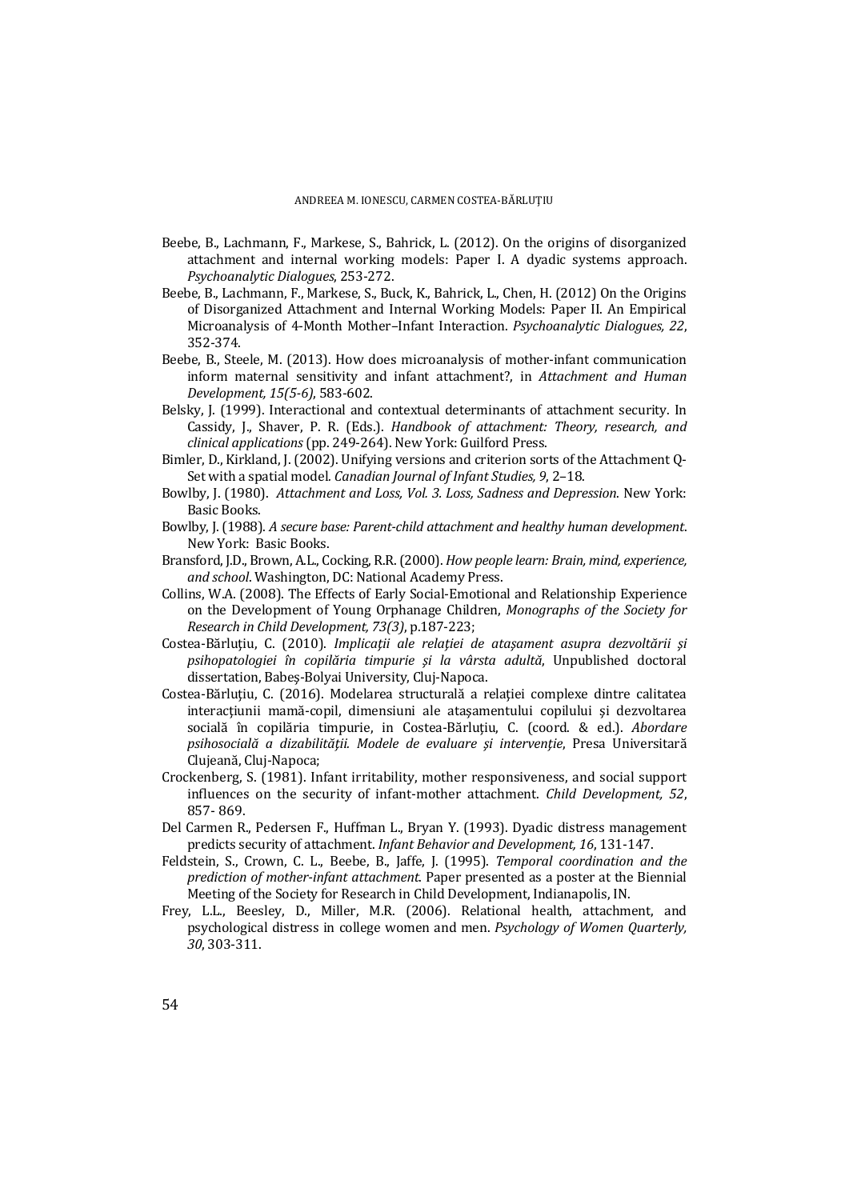- Beebe, B., Lachmann, F., Markese, S., Bahrick, L. (2012). On the origins of disorganized attachment and internal working models: Paper I. A dyadic systems approach. *Psychoanalytic Dialogues*, 253-272.
- Beebe, B., Lachmann, F., Markese, S., Buck, K., Bahrick, L., Chen, H. (2012) On the Origins of Disorganized Attachment and Internal Working Models: Paper II. An Empirical Microanalysis of 4-Month Mother–Infant Interaction. *Psychoanalytic Dialogues, 22*, 352-374.
- Beebe, B., Steele, M. (2013). How does microanalysis of mother-infant communication inform maternal sensitivity and infant attachment?, in *Attachment and Human Development, 15(5-6)*, 583-602.
- Belsky, J. (1999). Interactional and contextual determinants of attachment security. In Cassidy, J., Shaver, P. R. (Eds.). *Handbook of attachment: Theory, research, and clinical applications* (pp. 249-264). New York: Guilford Press.
- Bimler, D., Kirkland, J. (2002). Unifying versions and criterion sorts of the Attachment Q-Set with a spatial model*. Canadian Journal of Infant Studies, 9*, 2–18.
- Bowlby, J. (1980). *Attachment and Loss, Vol. 3. Loss, Sadness and Depression*. New York: Basic Books.
- Bowlby, J. (1988). *A secure base: Parent-child attachment and healthy human development*. New York: Basic Books.
- Bransford, J.D., Brown, A.L., Cocking, R.R. (2000). *How people learn: Brain, mind, experience, and school*. Washington, DC: National Academy Press.
- Collins, W.A. (2008). The Effects of Early Social-Emotional and Relationship Experience on the Development of Young Orphanage Children, *Monographs of the Society for Research in Child Development, 73(3)*, p.187-223;
- Costea-Bărluţiu, C. (2010). *Implicaţii ale relaţiei de ataşament asupra dezvoltării şi psihopatologiei în copilăria timpurie şi la vârsta adultă*, Unpublished doctoral dissertation, Babeş-Bolyai University, Cluj-Napoca.
- Costea-Bărlutiu, C. (2016). Modelarea structurală a relatiei complexe dintre calitatea interacţiunii mamă-copil, dimensiuni ale ataşamentului copilului şi dezvoltarea socială în copilăria timpurie, in Costea-Bărlutiu, C. (coord. & ed.). *Abordare psihosocială a dizabilităţii. Modele de evaluare şi intervenţie*, Presa Universitară Clujeană, Cluj-Napoca;
- Crockenberg, S. (1981). Infant irritability, mother responsiveness, and social support influences on the security of infant-mother attachment. *Child Development, 52*, 857- 869.
- Del Carmen R., Pedersen F., Huffman L., Bryan Y. (1993). Dyadic distress management predicts security of attachment. *Infant Behavior and Development, 16*, 131-147.
- Feldstein, S., Crown, C. L., Beebe, B., Jaffe, J. (1995). *Temporal coordination and the prediction of mother-infant attachment*. Paper presented as a poster at the Biennial Meeting of the Society for Research in Child Development, Indianapolis, IN.
- Frey, L.L., Beesley, D., Miller, M.R. (2006). Relational health, attachment, and psychological distress in college women and men. *Psychology of Women Quarterly, 30*, 303-311.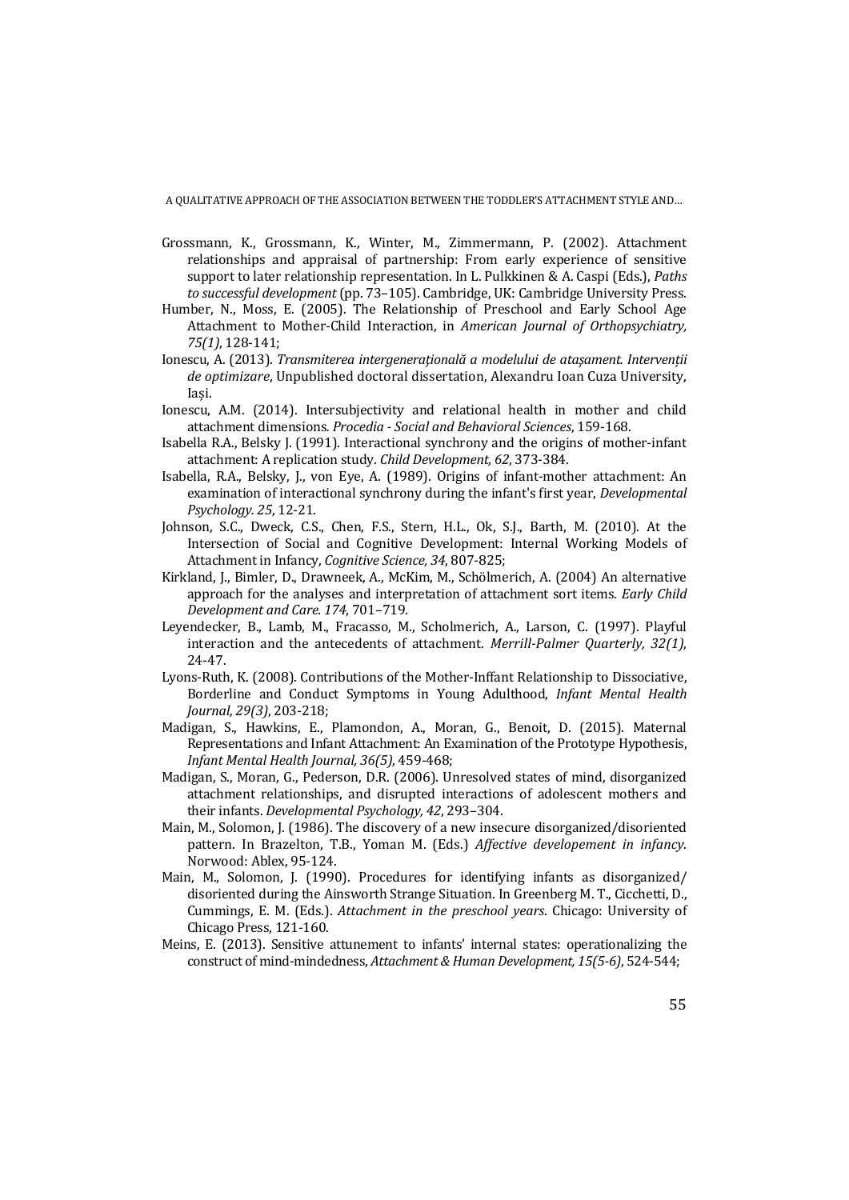- Grossmann, K., Grossmann, K., Winter, M., Zimmermann, P. (2002). Attachment relationships and appraisal of partnership: From early experience of sensitive support to later relationship representation. In L. Pulkkinen & A. Caspi (Eds.), *Paths to successful development* (pp. 73–105). Cambridge, UK: Cambridge University Press.
- Humber, N., Moss, E. (2005). The Relationship of Preschool and Early School Age Attachment to Mother-Child Interaction, in *American Journal of Orthopsychiatry, 75(1)*, 128-141;
- Ionescu, A. (2013). *Transmiterea intergeneraţională a modelului de ataşament. Intervenții de optimizare*, Unpublished doctoral dissertation, Alexandru Ioan Cuza University, Iași.
- Ionescu, A.M. (2014). Intersubjectivity and relational health in mother and child attachment dimensions*. Procedia - Social and Behavioral Sciences*, 159-168.
- Isabella R.A., Belsky J. (1991). Interactional synchrony and the origins of mother-infant attachment: A replication study. *Child Development, 62*, 373-384.
- Isabella, R.A., Belsky, J., von Eye, A. (1989). Origins of infant-mother attachment: An examination of interactional synchrony during the infant's first year, *Developmental Psychology. 25*, 12-21.
- Johnson, S.C., Dweck, C.S., Chen, F.S., Stern, H.L., Ok, S.J., Barth, M. (2010). At the Intersection of Social and Cognitive Development: Internal Working Models of Attachment in Infancy, *Cognitive Science, 34*, 807-825;
- Kirkland, J., Bimler, D., Drawneek, A., McKim, M., Schölmerich, A. (2004) An alternative approach for the analyses and interpretation of attachment sort items. *Early Child Development and Care. 174*, 701–719.
- Leyendecker, B., Lamb, M., Fracasso, M., Scholmerich, A., Larson, C. (1997). Playful interaction and the antecedents of attachment. *Merrill-Palmer Quarterly, 32(1)*, 24-47.
- Lyons-Ruth, K. (2008). Contributions of the Mother-Inffant Relationship to Dissociative, Borderline and Conduct Symptoms in Young Adulthood, *Infant Mental Health Journal, 29(3)*, 203-218;
- Madigan, S., Hawkins, E., Plamondon, A., Moran, G., Benoit, D. (2015). Maternal Representations and Infant Attachment: An Examination of the Prototype Hypothesis, *Infant Mental Health Journal, 36(5)*, 459-468;
- Madigan, S., Moran, G., Pederson, D.R. (2006). Unresolved states of mind, disorganized attachment relationships, and disrupted interactions of adolescent mothers and their infants. *Developmental Psychology, 42*, 293–304.
- Main, M., Solomon, J. (1986). The discovery of a new insecure disorganized/disoriented pattern. In Brazelton, T.B., Yoman M. (Eds.) *Affective developement in infancy*. Norwood: Ablex, 95-124.
- Main, M., Solomon, J. (1990). Procedures for identifying infants as disorganized/ disoriented during the Ainsworth Strange Situation. In Greenberg M. T., Cicchetti, D., Cummings, E. M. (Eds.). *Attachment in the preschool years*. Chicago: University of Chicago Press, 121-160.
- Meins, E. (2013). Sensitive attunement to infants' internal states: operationalizing the construct of mind-mindedness, *Attachment & Human Development, 15(5-6)*, 524-544;